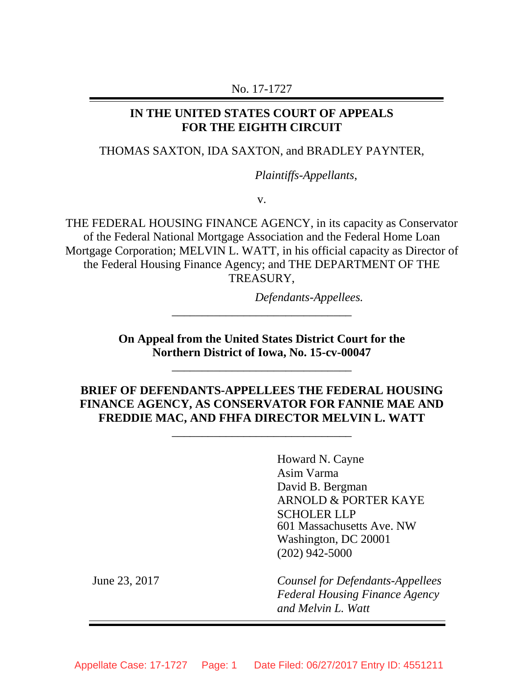#### No. 17-1727

### **IN THE UNITED STATES COURT OF APPEALS FOR THE EIGHTH CIRCUIT**

#### THOMAS SAXTON, IDA SAXTON, and BRADLEY PAYNTER,

*Plaintiffs-Appellants*,

v.

THE FEDERAL HOUSING FINANCE AGENCY, in its capacity as Conservator of the Federal National Mortgage Association and the Federal Home Loan Mortgage Corporation; MELVIN L. WATT, in his official capacity as Director of the Federal Housing Finance Agency; and THE DEPARTMENT OF THE TREASURY,

*Defendants-Appellees.*

**On Appeal from the United States District Court for the Northern District of Iowa, No. 15-cv-00047**

\_\_\_\_\_\_\_\_\_\_\_\_\_\_\_\_\_\_\_\_\_\_\_\_\_\_\_\_\_\_

\_\_\_\_\_\_\_\_\_\_\_\_\_\_\_\_\_\_\_\_\_\_\_\_\_\_\_\_\_\_

# **BRIEF OF DEFENDANTS-APPELLEES THE FEDERAL HOUSING FINANCE AGENCY, AS CONSERVATOR FOR FANNIE MAE AND FREDDIE MAC, AND FHFA DIRECTOR MELVIN L. WATT**

\_\_\_\_\_\_\_\_\_\_\_\_\_\_\_\_\_\_\_\_\_\_\_\_\_\_\_\_\_\_

Howard N. Cayne Asim Varma David B. Bergman ARNOLD & PORTER KAYE SCHOLER LLP 601 Massachusetts Ave. NW Washington, DC 20001 (202) 942-5000

June 23, 2017 *Counsel for Defendants-Appellees Federal Housing Finance Agency and Melvin L. Watt*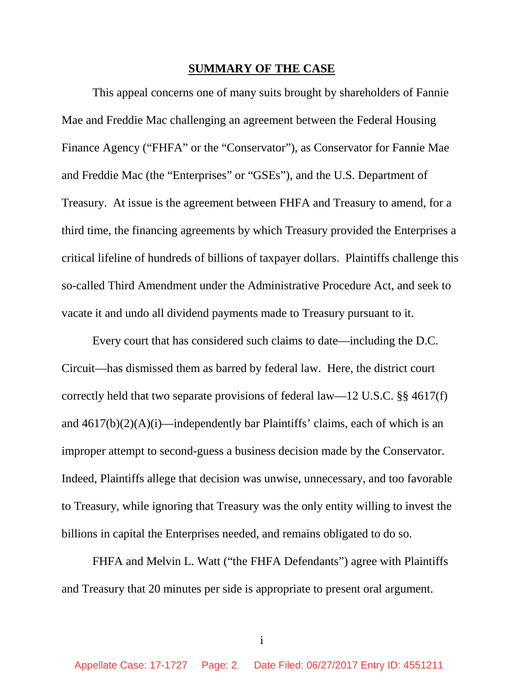#### **SUMMARY OF THE CASE**

This appeal concerns one of many suits brought by shareholders of Fannie Mae and Freddie Mac challenging an agreement between the Federal Housing Finance Agency ("FHFA" or the "Conservator"), as Conservator for Fannie Mae and Freddie Mac (the "Enterprises" or "GSEs"), and the U.S. Department of Treasury. At issue is the agreement between FHFA and Treasury to amend, for a third time, the financing agreements by which Treasury provided the Enterprises a critical lifeline of hundreds of billions of taxpayer dollars. Plaintiffs challenge this so-called Third Amendment under the Administrative Procedure Act, and seek to vacate it and undo all dividend payments made to Treasury pursuant to it.

Every court that has considered such claims to date—including the D.C. Circuit—has dismissed them as barred by federal law. Here, the district court correctly held that two separate provisions of federal law—12 U.S.C. §§ 4617(f) and  $4617(b)(2)(A)(i)$ —independently bar Plaintiffs' claims, each of which is an improper attempt to second-guess a business decision made by the Conservator. Indeed, Plaintiffs allege that decision was unwise, unnecessary, and too favorable to Treasury, while ignoring that Treasury was the only entity willing to invest the billions in capital the Enterprises needed, and remains obligated to do so.

FHFA and Melvin L. Watt ("the FHFA Defendants") agree with Plaintiffs and Treasury that 20 minutes per side is appropriate to present oral argument.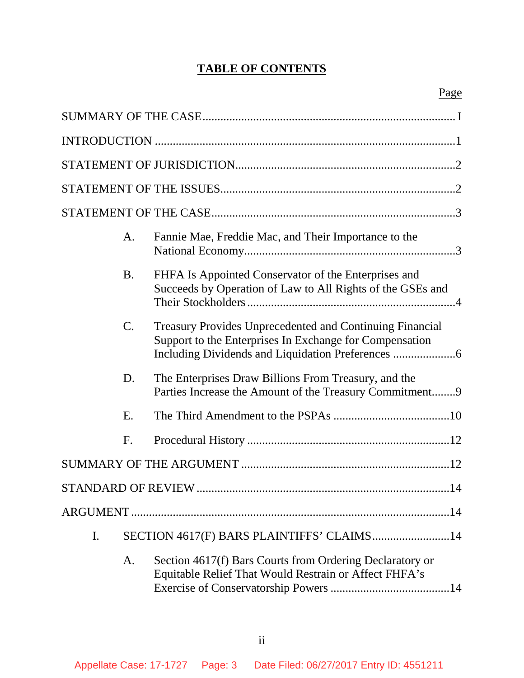# **TABLE OF CONTENTS**

|    | A.                                        | Fannie Mae, Freddie Mac, and Their Importance to the                                                                       |  |
|----|-------------------------------------------|----------------------------------------------------------------------------------------------------------------------------|--|
|    | <b>B.</b>                                 | FHFA Is Appointed Conservator of the Enterprises and<br>Succeeds by Operation of Law to All Rights of the GSEs and         |  |
|    | $\mathbf{C}$ .                            | <b>Treasury Provides Unprecedented and Continuing Financial</b><br>Support to the Enterprises In Exchange for Compensation |  |
|    | D.                                        | The Enterprises Draw Billions From Treasury, and the<br>Parties Increase the Amount of the Treasury Commitment9            |  |
|    | Ε.                                        |                                                                                                                            |  |
|    | F.                                        |                                                                                                                            |  |
|    |                                           |                                                                                                                            |  |
|    |                                           | STANDARD OF REVIEW<br>.14                                                                                                  |  |
|    |                                           |                                                                                                                            |  |
| I. | SECTION 4617(F) BARS PLAINTIFFS' CLAIMS14 |                                                                                                                            |  |
|    | A.                                        | Section 4617(f) Bars Courts from Ordering Declaratory or<br>Equitable Relief That Would Restrain or Affect FHFA's          |  |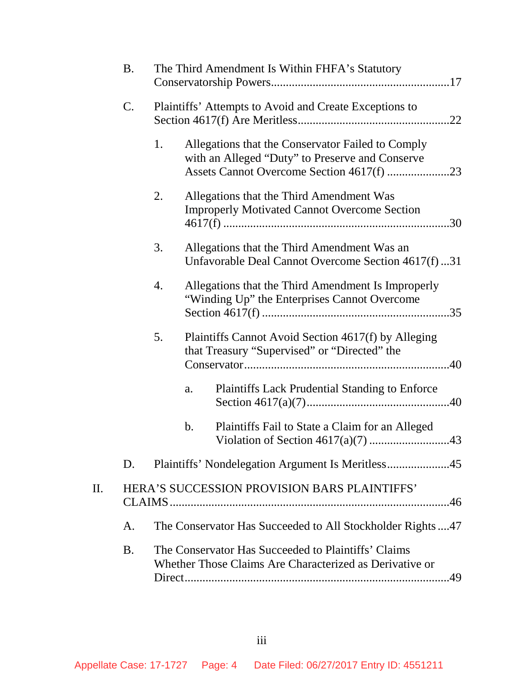|    | <b>B.</b> |    | The Third Amendment Is Within FHFA's Statutory                                                                 |
|----|-----------|----|----------------------------------------------------------------------------------------------------------------|
|    | C.        |    | Plaintiffs' Attempts to Avoid and Create Exceptions to                                                         |
|    |           | 1. | Allegations that the Conservator Failed to Comply<br>with an Alleged "Duty" to Preserve and Conserve           |
|    |           | 2. | Allegations that the Third Amendment Was<br><b>Improperly Motivated Cannot Overcome Section</b>                |
|    |           | 3. | Allegations that the Third Amendment Was an<br>Unfavorable Deal Cannot Overcome Section 4617(f)31              |
|    |           | 4. | Allegations that the Third Amendment Is Improperly<br>"Winding Up" the Enterprises Cannot Overcome             |
|    |           | 5. | Plaintiffs Cannot Avoid Section 4617(f) by Alleging<br>that Treasury "Supervised" or "Directed" the            |
|    |           |    | <b>Plaintiffs Lack Prudential Standing to Enforce</b><br>a.                                                    |
|    |           |    | Plaintiffs Fail to State a Claim for an Alleged<br>b.                                                          |
|    | D.        |    | Plaintiffs' Nondelegation Argument Is Meritless45                                                              |
| П. |           |    | HERA'S SUCCESSION PROVISION BARS PLAINTIFFS'                                                                   |
|    | A.        |    | The Conservator Has Succeeded to All Stockholder Rights47                                                      |
|    | <b>B.</b> |    | The Conservator Has Succeeded to Plaintiffs' Claims<br>Whether Those Claims Are Characterized as Derivative or |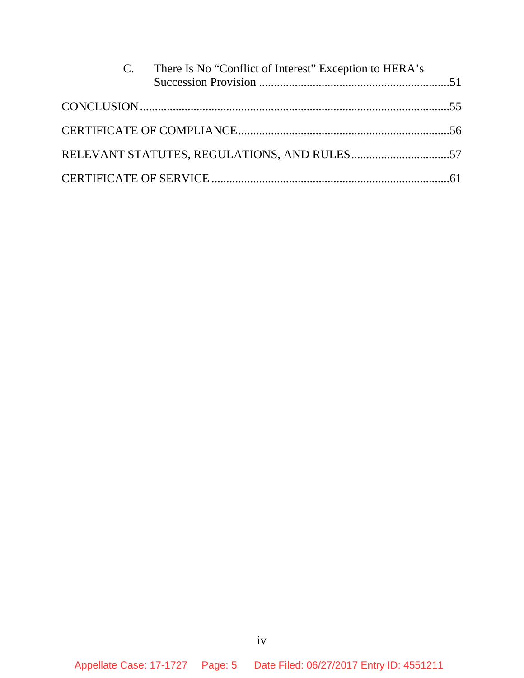| C. There Is No "Conflict of Interest" Exception to HERA's |  |
|-----------------------------------------------------------|--|
|                                                           |  |
|                                                           |  |
|                                                           |  |
|                                                           |  |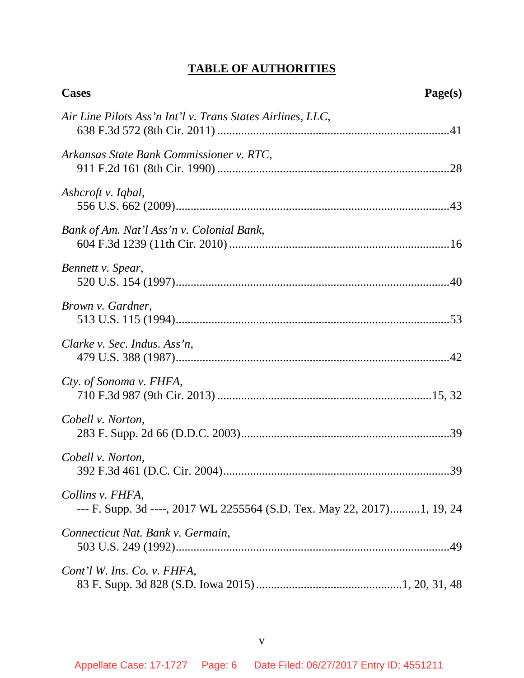# **TABLE OF AUTHORITIES**

| <b>Cases</b>                                                                                | Page(s) |
|---------------------------------------------------------------------------------------------|---------|
| Air Line Pilots Ass'n Int'l v. Trans States Airlines, LLC,                                  |         |
| Arkansas State Bank Commissioner v. RTC,                                                    |         |
| Ashcroft v. Iqbal,                                                                          |         |
| Bank of Am. Nat'l Ass'n v. Colonial Bank,                                                   |         |
| Bennett v. Spear,                                                                           |         |
| Brown v. Gardner,                                                                           |         |
| Clarke v. Sec. Indus. Ass'n,                                                                |         |
| Cty. of Sonoma v. FHFA,                                                                     |         |
| Cobell v. Norton,                                                                           |         |
| Cobell v. Norton,                                                                           |         |
| Collins v. FHFA,<br>--- F. Supp. 3d ----, 2017 WL 2255564 (S.D. Tex. May 22, 2017)1, 19, 24 |         |
| Connecticut Nat. Bank v. Germain,                                                           |         |
| Cont'l W. Ins. Co. v. FHFA,                                                                 |         |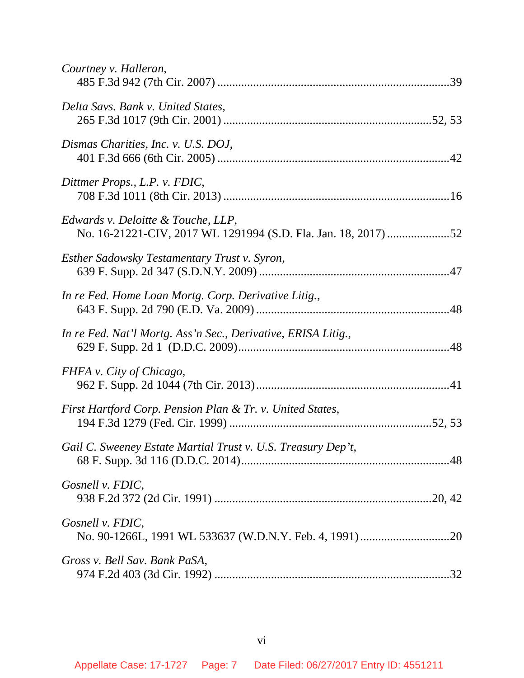| Courtney v. Halleran,                                                                                |  |
|------------------------------------------------------------------------------------------------------|--|
| Delta Savs. Bank v. United States,                                                                   |  |
| Dismas Charities, Inc. v. U.S. DOJ,                                                                  |  |
| Dittmer Props., L.P. v. FDIC,                                                                        |  |
| Edwards v. Deloitte & Touche, LLP,<br>No. 16-21221-CIV, 2017 WL 1291994 (S.D. Fla. Jan. 18, 2017) 52 |  |
| Esther Sadowsky Testamentary Trust v. Syron,                                                         |  |
| In re Fed. Home Loan Mortg. Corp. Derivative Litig.,                                                 |  |
| In re Fed. Nat'l Mortg. Ass'n Sec., Derivative, ERISA Litig.,                                        |  |
| FHFA v. City of Chicago,                                                                             |  |
| First Hartford Corp. Pension Plan & Tr. v. United States,                                            |  |
| Gail C. Sweeney Estate Martial Trust v. U.S. Treasury Dep't,                                         |  |
| Gosnell v. FDIC,                                                                                     |  |
| Gosnell v. FDIC,                                                                                     |  |
| Gross v. Bell Sav. Bank PaSA,                                                                        |  |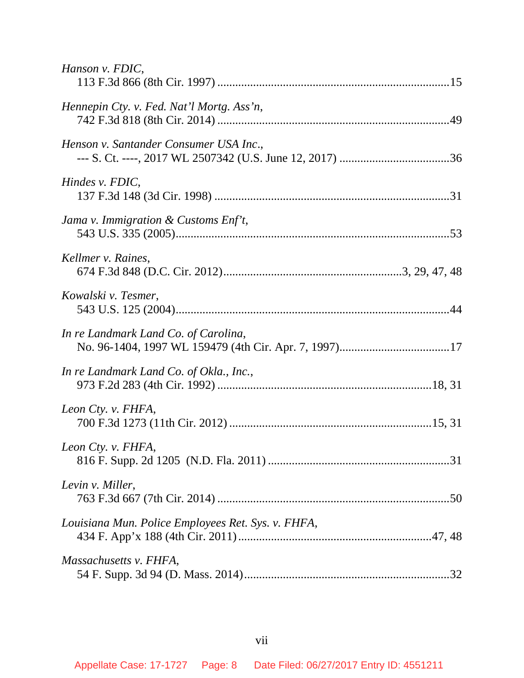| Hanson v. FDIC,                                    |
|----------------------------------------------------|
| Hennepin Cty. v. Fed. Nat'l Mortg. Ass'n,          |
| Henson v. Santander Consumer USA Inc.,             |
| Hindes v. FDIC,                                    |
| Jama v. Immigration $\&$ Customs Enf't,            |
| Kellmer v. Raines,                                 |
| Kowalski v. Tesmer,                                |
| In re Landmark Land Co. of Carolina,               |
| In re Landmark Land Co. of Okla., Inc.,            |
| Leon Cty. v. FHFA,                                 |
| Leon Cty. v. FHFA,                                 |
| Levin v. Miller,                                   |
| Louisiana Mun. Police Employees Ret. Sys. v. FHFA, |
| Massachusetts v. FHFA,                             |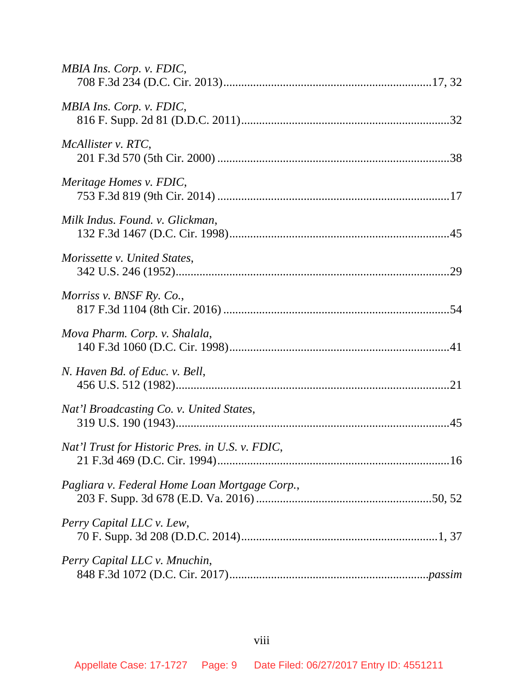| MBIA Ins. Corp. v. FDIC,                        |
|-------------------------------------------------|
| MBIA Ins. Corp. v. FDIC,                        |
| McAllister v. RTC,                              |
| Meritage Homes v. FDIC,                         |
| Milk Indus. Found. v. Glickman,                 |
| Morissette v. United States,                    |
| Morriss v. BNSF Ry. Co.,                        |
| Mova Pharm. Corp. v. Shalala,                   |
| N. Haven Bd. of Educ. v. Bell,                  |
| Nat'l Broadcasting Co. v. United States,        |
| Nat'l Trust for Historic Pres. in U.S. v. FDIC, |
| Pagliara v. Federal Home Loan Mortgage Corp.,   |
| Perry Capital LLC v. Lew,                       |
| Perry Capital LLC v. Mnuchin,                   |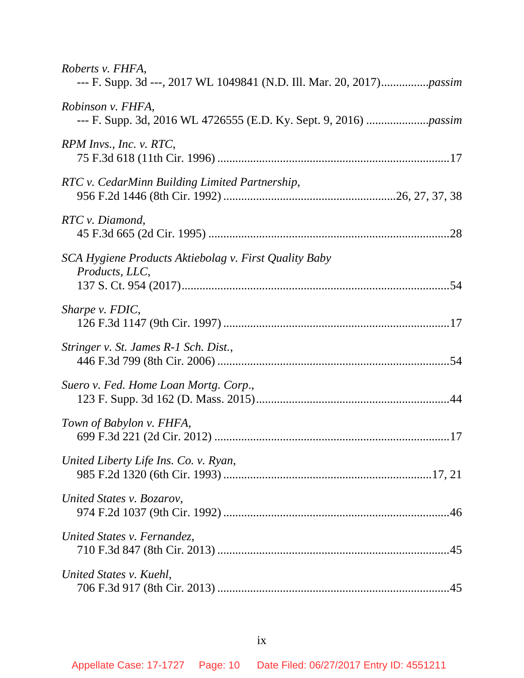| Roberts v. FHFA,                                                        |
|-------------------------------------------------------------------------|
| Robinson v. FHFA,                                                       |
| RPM Invs., Inc. v. RTC,                                                 |
| RTC v. CedarMinn Building Limited Partnership,                          |
| RTC v. Diamond,                                                         |
| SCA Hygiene Products Aktiebolag v. First Quality Baby<br>Products, LLC, |
| Sharpe v. FDIC,                                                         |
| Stringer v. St. James R-1 Sch. Dist.,                                   |
| Suero v. Fed. Home Loan Mortg. Corp.,                                   |
| Town of Babylon v. FHFA,                                                |
| United Liberty Life Ins. Co. v. Ryan,                                   |
| United States v. Bozarov,                                               |
| United States v. Fernandez,                                             |
| United States v. Kuehl,                                                 |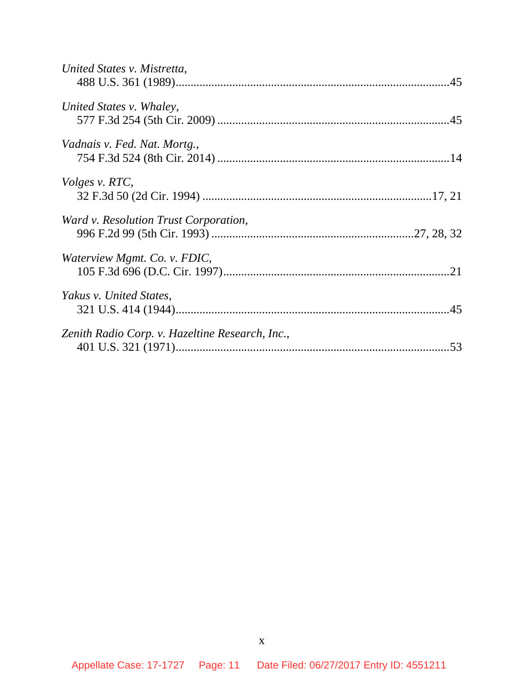| United States v. Mistretta,                     |  |
|-------------------------------------------------|--|
| United States v. Whaley,                        |  |
| Vadnais v. Fed. Nat. Mortg.,                    |  |
| <i>Volges v. RTC,</i>                           |  |
| Ward v. Resolution Trust Corporation,           |  |
| Waterview Mgmt. Co. v. FDIC,                    |  |
| Yakus v. United States,                         |  |
| Zenith Radio Corp. v. Hazeltine Research, Inc., |  |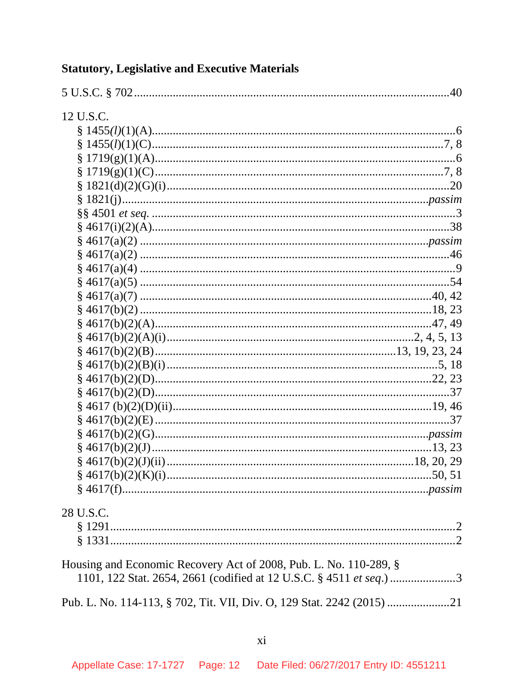| 12 U.S.C.                                                         |  |
|-------------------------------------------------------------------|--|
|                                                                   |  |
|                                                                   |  |
|                                                                   |  |
|                                                                   |  |
|                                                                   |  |
|                                                                   |  |
|                                                                   |  |
|                                                                   |  |
|                                                                   |  |
|                                                                   |  |
|                                                                   |  |
|                                                                   |  |
|                                                                   |  |
|                                                                   |  |
|                                                                   |  |
|                                                                   |  |
|                                                                   |  |
|                                                                   |  |
|                                                                   |  |
|                                                                   |  |
|                                                                   |  |
|                                                                   |  |
|                                                                   |  |
|                                                                   |  |
|                                                                   |  |
|                                                                   |  |
|                                                                   |  |
|                                                                   |  |
| 28 U.S.C.                                                         |  |
|                                                                   |  |
|                                                                   |  |
| Housing and Economic Recovery Act of 2008, Pub. L. No. 110-289, § |  |
|                                                                   |  |
|                                                                   |  |
|                                                                   |  |

# **Statutory, Legislative and Executive Materials**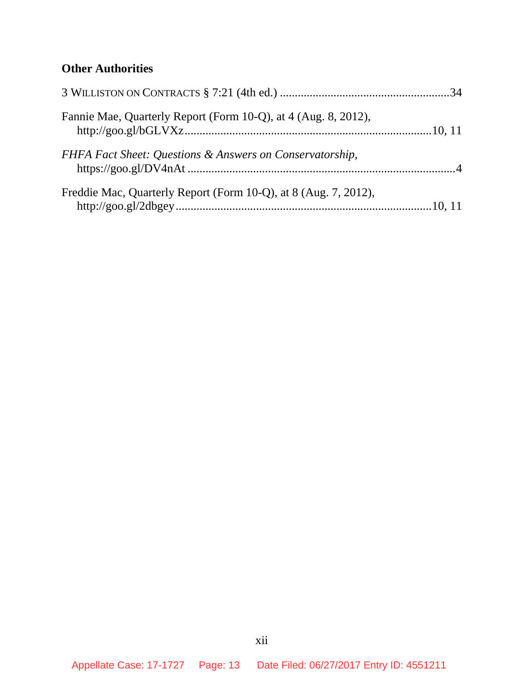# **Other Authorities**

| Fannie Mae, Quarterly Report (Form 10-Q), at 4 (Aug. 8, 2012).  |  |
|-----------------------------------------------------------------|--|
| FHFA Fact Sheet: Questions & Answers on Conservatorship,        |  |
| Freddie Mac, Quarterly Report (Form 10-Q), at 8 (Aug. 7, 2012), |  |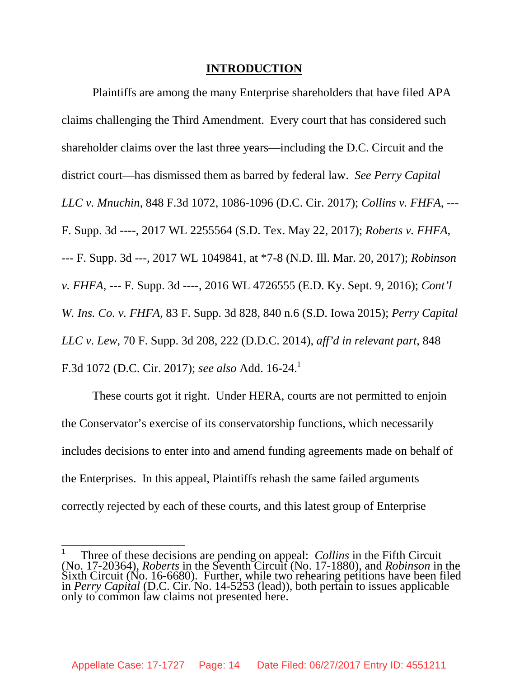#### **INTRODUCTION**

Plaintiffs are among the many Enterprise shareholders that have filed APA claims challenging the Third Amendment. Every court that has considered such shareholder claims over the last three years—including the D.C. Circuit and the district court—has dismissed them as barred by federal law. *See Perry Capital LLC v. Mnuchin*, 848 F.3d 1072, 1086-1096 (D.C. Cir. 2017); *Collins v. FHFA*, --- F. Supp. 3d ----, 2017 WL 2255564 (S.D. Tex. May 22, 2017); *Roberts v. FHFA*, --- F. Supp. 3d ---, 2017 WL 1049841, at \*7-8 (N.D. Ill. Mar. 20, 2017); *Robinson v. FHFA*, --- F. Supp. 3d ----, 2016 WL 4726555 (E.D. Ky. Sept. 9, 2016); *Cont'l W. Ins. Co. v. FHFA*, 83 F. Supp. 3d 828, 840 n.6 (S.D. Iowa 2015); *Perry Capital LLC v. Lew*, 70 F. Supp. 3d 208, 222 (D.D.C. 2014), *aff'd in relevant part*, 848 F.3d 1072 (D.C. Cir. 2017); *see also* Add. 16-24.<sup>1</sup>

These courts got it right. Under HERA, courts are not permitted to enjoin the Conservator's exercise of its conservatorship functions, which necessarily includes decisions to enter into and amend funding agreements made on behalf of the Enterprises. In this appeal, Plaintiffs rehash the same failed arguments correctly rejected by each of these courts, and this latest group of Enterprise

<sup>&</sup>lt;sup>1</sup> Three of these decisions are pending on appeal: *Collins* in the Fifth Circuit (No. 17-20364), *Roberts* in the Seventh Circuit (No. 17-1880), and *Robinson* in the Sixth Circuit (No. 16-6680). Further, while two rehearing petitions have been filed in *Perry Capital* (D.C. Cir. No. 14-5253 (lead)), both pertain to issues applicable only to common law claims not presented here.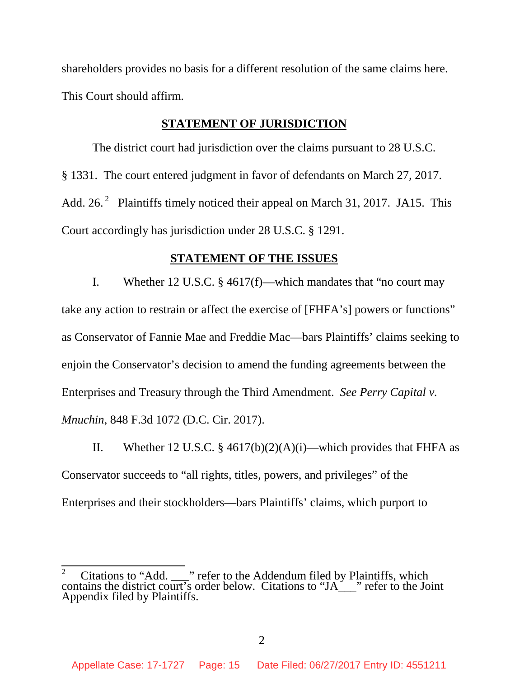shareholders provides no basis for a different resolution of the same claims here. This Court should affirm.

#### **STATEMENT OF JURISDICTION**

The district court had jurisdiction over the claims pursuant to 28 U.S.C. § 1331. The court entered judgment in favor of defendants on March 27, 2017. Add. 26. $^2$  Plaintiffs timely noticed their appeal on March 31, 2017. JA15. This Court accordingly has jurisdiction under 28 U.S.C. § 1291.

#### **STATEMENT OF THE ISSUES**

I. Whether 12 U.S.C. § 4617(f)—which mandates that "no court may take any action to restrain or affect the exercise of [FHFA's] powers or functions" as Conservator of Fannie Mae and Freddie Mac—bars Plaintiffs' claims seeking to enjoin the Conservator's decision to amend the funding agreements between the Enterprises and Treasury through the Third Amendment. *See Perry Capital v. Mnuchin*, 848 F.3d 1072 (D.C. Cir. 2017).

II. Whether 12 U.S.C. § 4617(b)(2)(A)(i)—which provides that FHFA as Conservator succeeds to "all rights, titles, powers, and privileges" of the Enterprises and their stockholders—bars Plaintiffs' claims, which purport to

<sup>&</sup>lt;sup>2</sup> Citations to "Add.  $\Box$ " refer to the Addendum filed by Plaintiffs, which contains the district court's order below. Citations to "JA\_\_\_" refer to the Joint Appendix filed by Plaintiffs.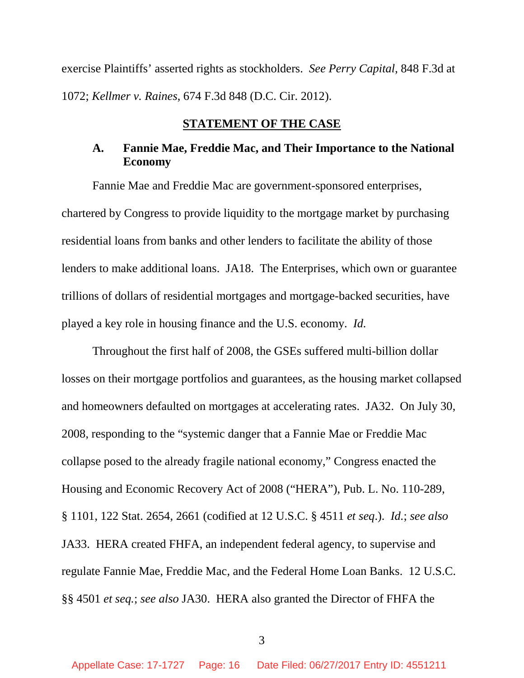exercise Plaintiffs' asserted rights as stockholders. *See Perry Capital*, 848 F.3d at 1072; *Kellmer v. Raines*, 674 F.3d 848 (D.C. Cir. 2012).

#### **STATEMENT OF THE CASE**

### **A. Fannie Mae, Freddie Mac, and Their Importance to the National Economy**

Fannie Mae and Freddie Mac are government-sponsored enterprises, chartered by Congress to provide liquidity to the mortgage market by purchasing residential loans from banks and other lenders to facilitate the ability of those lenders to make additional loans. JA18. The Enterprises, which own or guarantee trillions of dollars of residential mortgages and mortgage-backed securities, have played a key role in housing finance and the U.S. economy. *Id.*

Throughout the first half of 2008, the GSEs suffered multi-billion dollar losses on their mortgage portfolios and guarantees, as the housing market collapsed and homeowners defaulted on mortgages at accelerating rates. JA32. On July 30, 2008, responding to the "systemic danger that a Fannie Mae or Freddie Mac collapse posed to the already fragile national economy," Congress enacted the Housing and Economic Recovery Act of 2008 ("HERA"), Pub. L. No. 110-289, § 1101, 122 Stat. 2654, 2661 (codified at 12 U.S.C. § 4511 *et seq*.). *Id.*; *see also* JA33. HERA created FHFA, an independent federal agency, to supervise and regulate Fannie Mae, Freddie Mac, and the Federal Home Loan Banks. 12 U.S.C. §§ 4501 *et seq.*; *see also* JA30. HERA also granted the Director of FHFA the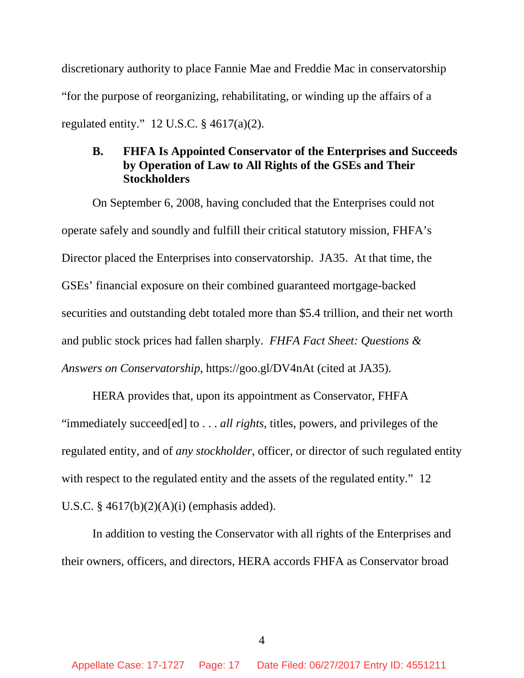discretionary authority to place Fannie Mae and Freddie Mac in conservatorship "for the purpose of reorganizing, rehabilitating, or winding up the affairs of a regulated entity."  $12$  U.S.C. § 4617(a)(2).

## **B. FHFA Is Appointed Conservator of the Enterprises and Succeeds by Operation of Law to All Rights of the GSEs and Their Stockholders**

On September 6, 2008, having concluded that the Enterprises could not operate safely and soundly and fulfill their critical statutory mission, FHFA's Director placed the Enterprises into conservatorship. JA35. At that time, the GSEs' financial exposure on their combined guaranteed mortgage-backed securities and outstanding debt totaled more than \$5.4 trillion, and their net worth and public stock prices had fallen sharply. *FHFA Fact Sheet: Questions & Answers on Conservatorship*, https://goo.gl/DV4nAt (cited at JA35).

HERA provides that, upon its appointment as Conservator, FHFA "immediately succeed[ed] to . . . *all rights*, titles, powers, and privileges of the regulated entity, and of *any stockholder*, officer, or director of such regulated entity with respect to the regulated entity and the assets of the regulated entity." 12 U.S.C.  $§$  4617(b)(2)(A)(i) (emphasis added).

In addition to vesting the Conservator with all rights of the Enterprises and their owners, officers, and directors, HERA accords FHFA as Conservator broad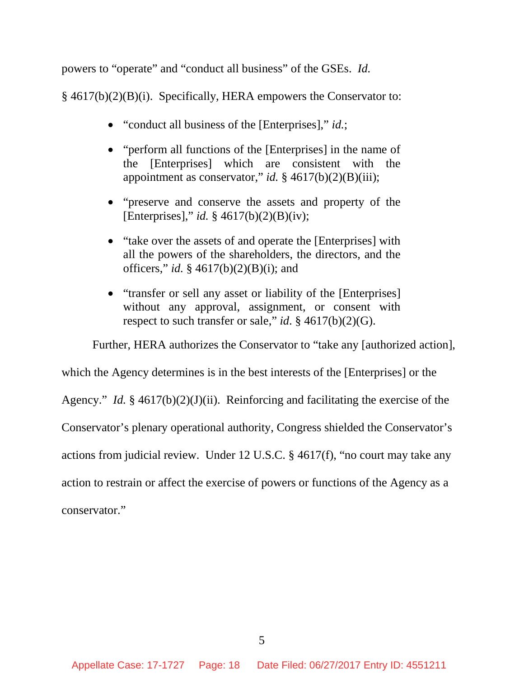powers to "operate" and "conduct all business" of the GSEs. *Id.*

§ 4617(b)(2)(B)(i). Specifically, HERA empowers the Conservator to:

- "conduct all business of the [Enterprises]," *id.*;
- "perform all functions of the [Enterprises] in the name of the [Enterprises] which are consistent with the appointment as conservator," *id.* § 4617(b)(2)(B)(iii);
- "preserve and conserve the assets and property of the [Enterprises]," *id.* § 4617(b)(2)(B)(iv);
- "take over the assets of and operate the [Enterprises] with all the powers of the shareholders, the directors, and the officers," *id.* § 4617(b)(2)(B)(i); and
- "transfer or sell any asset or liability of the [Enterprises] without any approval, assignment, or consent with respect to such transfer or sale," *id*. § 4617(b)(2)(G).

Further, HERA authorizes the Conservator to "take any [authorized action],

which the Agency determines is in the best interests of the [Enterprises] or the

Agency." *Id.* § 4617(b)(2)(J)(ii). Reinforcing and facilitating the exercise of the

Conservator's plenary operational authority, Congress shielded the Conservator's

actions from judicial review. Under 12 U.S.C. § 4617(f), "no court may take any

action to restrain or affect the exercise of powers or functions of the Agency as a

conservator."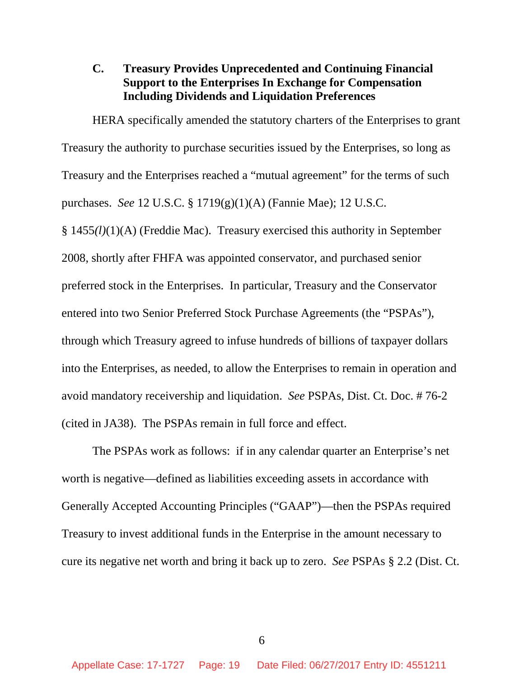## **C. Treasury Provides Unprecedented and Continuing Financial Support to the Enterprises In Exchange for Compensation Including Dividends and Liquidation Preferences**

HERA specifically amended the statutory charters of the Enterprises to grant Treasury the authority to purchase securities issued by the Enterprises, so long as Treasury and the Enterprises reached a "mutual agreement" for the terms of such purchases. *See* 12 U.S.C. § 1719(g)(1)(A) (Fannie Mae); 12 U.S.C. § 1455*(l)*(1)(A) (Freddie Mac). Treasury exercised this authority in September 2008, shortly after FHFA was appointed conservator, and purchased senior preferred stock in the Enterprises. In particular, Treasury and the Conservator entered into two Senior Preferred Stock Purchase Agreements (the "PSPAs"), through which Treasury agreed to infuse hundreds of billions of taxpayer dollars into the Enterprises, as needed, to allow the Enterprises to remain in operation and avoid mandatory receivership and liquidation. *See* PSPAs, Dist. Ct. Doc. # 76-2 (cited in JA38). The PSPAs remain in full force and effect.

The PSPAs work as follows: if in any calendar quarter an Enterprise's net worth is negative—defined as liabilities exceeding assets in accordance with Generally Accepted Accounting Principles ("GAAP")—then the PSPAs required Treasury to invest additional funds in the Enterprise in the amount necessary to cure its negative net worth and bring it back up to zero. *See* PSPAs § 2.2 (Dist. Ct.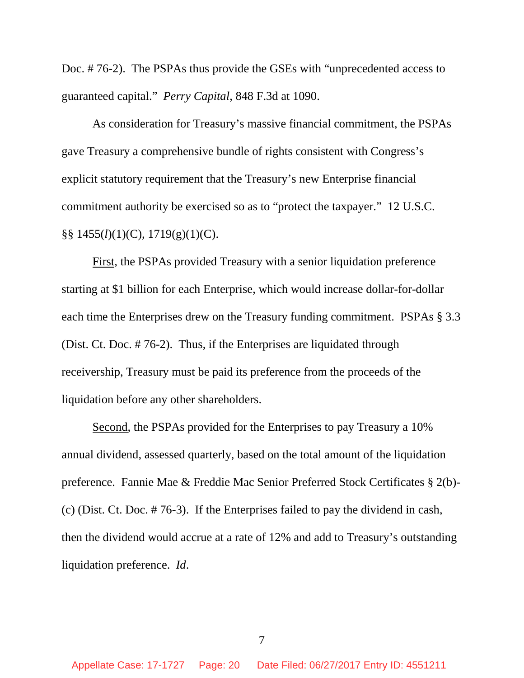Doc. # 76-2). The PSPAs thus provide the GSEs with "unprecedented access to guaranteed capital." *Perry Capital*, 848 F.3d at 1090.

As consideration for Treasury's massive financial commitment, the PSPAs gave Treasury a comprehensive bundle of rights consistent with Congress's explicit statutory requirement that the Treasury's new Enterprise financial commitment authority be exercised so as to "protect the taxpayer." 12 U.S.C. §§ 1455(*l*)(1)(C), 1719(g)(1)(C).

First, the PSPAs provided Treasury with a senior liquidation preference starting at \$1 billion for each Enterprise, which would increase dollar-for-dollar each time the Enterprises drew on the Treasury funding commitment. PSPAs § 3.3 (Dist. Ct. Doc. # 76-2). Thus, if the Enterprises are liquidated through receivership, Treasury must be paid its preference from the proceeds of the liquidation before any other shareholders.

Second, the PSPAs provided for the Enterprises to pay Treasury a 10% annual dividend, assessed quarterly, based on the total amount of the liquidation preference. Fannie Mae & Freddie Mac Senior Preferred Stock Certificates § 2(b)- (c) (Dist. Ct. Doc. # 76-3). If the Enterprises failed to pay the dividend in cash, then the dividend would accrue at a rate of 12% and add to Treasury's outstanding liquidation preference. *Id*.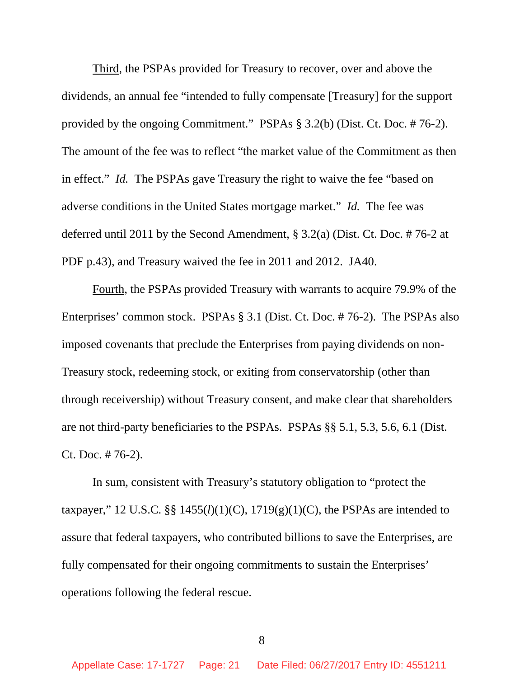Third, the PSPAs provided for Treasury to recover, over and above the dividends, an annual fee "intended to fully compensate [Treasury] for the support provided by the ongoing Commitment." PSPAs § 3.2(b) (Dist. Ct. Doc. # 76-2). The amount of the fee was to reflect "the market value of the Commitment as then in effect." *Id.* The PSPAs gave Treasury the right to waive the fee "based on adverse conditions in the United States mortgage market." *Id.* The fee was deferred until 2011 by the Second Amendment, § 3.2(a) (Dist. Ct. Doc. # 76-2 at PDF p.43), and Treasury waived the fee in 2011 and 2012. JA40.

Fourth, the PSPAs provided Treasury with warrants to acquire 79.9% of the Enterprises' common stock. PSPAs § 3.1 (Dist. Ct. Doc. # 76-2). The PSPAs also imposed covenants that preclude the Enterprises from paying dividends on non-Treasury stock, redeeming stock, or exiting from conservatorship (other than through receivership) without Treasury consent, and make clear that shareholders are not third-party beneficiaries to the PSPAs. PSPAs §§ 5.1, 5.3, 5.6, 6.1 (Dist. Ct. Doc. # 76-2).

In sum, consistent with Treasury's statutory obligation to "protect the taxpayer," 12 U.S.C. §§  $1455(l)(1)(C)$ ,  $1719(g)(1)(C)$ , the PSPAs are intended to assure that federal taxpayers, who contributed billions to save the Enterprises, are fully compensated for their ongoing commitments to sustain the Enterprises' operations following the federal rescue.

8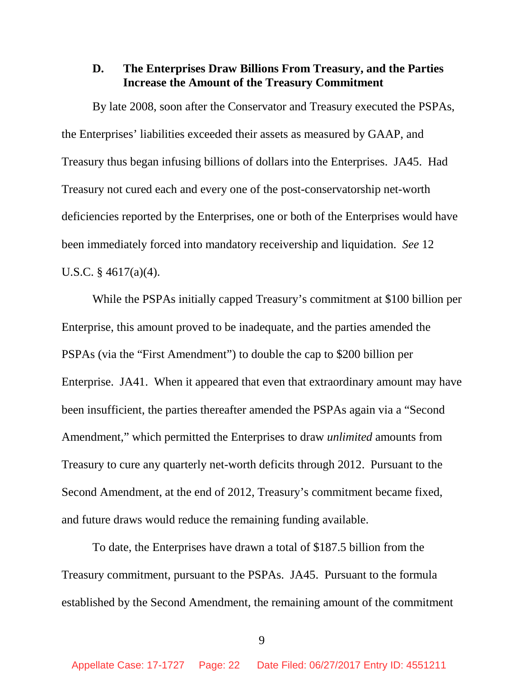# **D. The Enterprises Draw Billions From Treasury, and the Parties Increase the Amount of the Treasury Commitment**

By late 2008, soon after the Conservator and Treasury executed the PSPAs, the Enterprises' liabilities exceeded their assets as measured by GAAP, and Treasury thus began infusing billions of dollars into the Enterprises. JA45. Had Treasury not cured each and every one of the post-conservatorship net-worth deficiencies reported by the Enterprises, one or both of the Enterprises would have been immediately forced into mandatory receivership and liquidation. *See* 12 U.S.C. § 4617(a)(4).

While the PSPAs initially capped Treasury's commitment at \$100 billion per Enterprise, this amount proved to be inadequate, and the parties amended the PSPAs (via the "First Amendment") to double the cap to \$200 billion per Enterprise. JA41. When it appeared that even that extraordinary amount may have been insufficient, the parties thereafter amended the PSPAs again via a "Second Amendment," which permitted the Enterprises to draw *unlimited* amounts from Treasury to cure any quarterly net-worth deficits through 2012. Pursuant to the Second Amendment, at the end of 2012, Treasury's commitment became fixed, and future draws would reduce the remaining funding available.

To date, the Enterprises have drawn a total of \$187.5 billion from the Treasury commitment, pursuant to the PSPAs. JA45. Pursuant to the formula established by the Second Amendment, the remaining amount of the commitment

<sup>9</sup>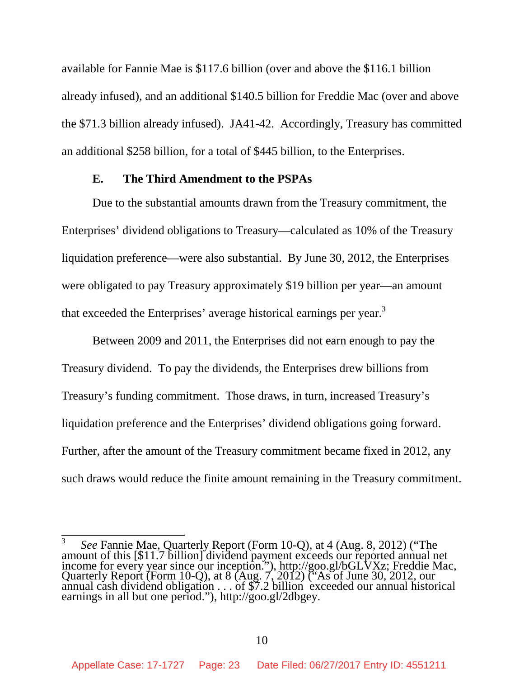available for Fannie Mae is \$117.6 billion (over and above the \$116.1 billion already infused), and an additional \$140.5 billion for Freddie Mac (over and above the \$71.3 billion already infused). JA41-42. Accordingly, Treasury has committed an additional \$258 billion, for a total of \$445 billion, to the Enterprises.

#### **E. The Third Amendment to the PSPAs**

Due to the substantial amounts drawn from the Treasury commitment, the Enterprises' dividend obligations to Treasury—calculated as 10% of the Treasury liquidation preference—were also substantial. By June 30, 2012, the Enterprises were obligated to pay Treasury approximately \$19 billion per year—an amount that exceeded the Enterprises' average historical earnings per year.<sup>3</sup>

Between 2009 and 2011, the Enterprises did not earn enough to pay the Treasury dividend. To pay the dividends, the Enterprises drew billions from Treasury's funding commitment. Those draws, in turn, increased Treasury's liquidation preference and the Enterprises' dividend obligations going forward. Further, after the amount of the Treasury commitment became fixed in 2012, any such draws would reduce the finite amount remaining in the Treasury commitment.

<sup>3</sup> *See* Fannie Mae, Quarterly Report (Form 10-Q), at 4 (Aug. 8, 2012) ("The amount of this [\$11.7 billion] dividend payment exceeds our reported annual net income for every year since our inception."), http://goo.gl/bGLVXz; Freddie Mac, Quarterly Report (Form 10-Q), at 8 (Aug. 7, 2012) ("As of June 30, 2012, our annual cash dividend obligation . . . of \$7.2 billion exceeded our annual historical earnings in all but one period."), http://goo.gl/2dbgey.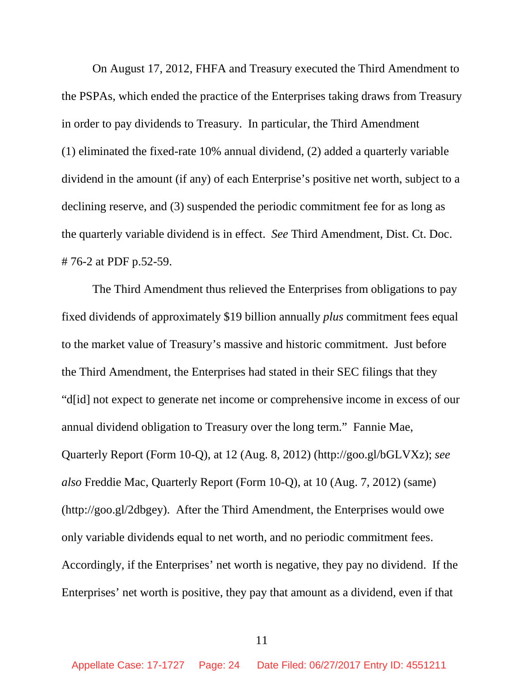On August 17, 2012, FHFA and Treasury executed the Third Amendment to the PSPAs, which ended the practice of the Enterprises taking draws from Treasury in order to pay dividends to Treasury. In particular, the Third Amendment (1) eliminated the fixed-rate 10% annual dividend, (2) added a quarterly variable dividend in the amount (if any) of each Enterprise's positive net worth, subject to a declining reserve, and (3) suspended the periodic commitment fee for as long as the quarterly variable dividend is in effect. *See* Third Amendment, Dist. Ct. Doc. # 76-2 at PDF p.52-59.

The Third Amendment thus relieved the Enterprises from obligations to pay fixed dividends of approximately \$19 billion annually *plus* commitment fees equal to the market value of Treasury's massive and historic commitment. Just before the Third Amendment, the Enterprises had stated in their SEC filings that they "d[id] not expect to generate net income or comprehensive income in excess of our annual dividend obligation to Treasury over the long term." Fannie Mae, Quarterly Report (Form 10-Q), at 12 (Aug. 8, 2012) (http://goo.gl/bGLVXz); *see also* Freddie Mac, Quarterly Report (Form 10-Q), at 10 (Aug. 7, 2012) (same) (http://goo.gl/2dbgey). After the Third Amendment, the Enterprises would owe only variable dividends equal to net worth, and no periodic commitment fees. Accordingly, if the Enterprises' net worth is negative, they pay no dividend. If the Enterprises' net worth is positive, they pay that amount as a dividend, even if that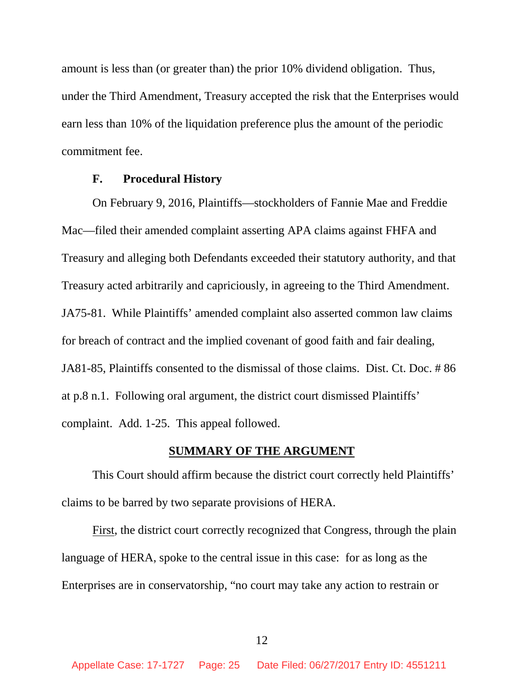amount is less than (or greater than) the prior 10% dividend obligation. Thus, under the Third Amendment, Treasury accepted the risk that the Enterprises would earn less than 10% of the liquidation preference plus the amount of the periodic commitment fee.

#### **F. Procedural History**

On February 9, 2016, Plaintiffs—stockholders of Fannie Mae and Freddie Mac—filed their amended complaint asserting APA claims against FHFA and Treasury and alleging both Defendants exceeded their statutory authority, and that Treasury acted arbitrarily and capriciously, in agreeing to the Third Amendment. JA75-81. While Plaintiffs' amended complaint also asserted common law claims for breach of contract and the implied covenant of good faith and fair dealing, JA81-85, Plaintiffs consented to the dismissal of those claims. Dist. Ct. Doc. # 86 at p.8 n.1. Following oral argument, the district court dismissed Plaintiffs' complaint. Add. 1-25. This appeal followed.

### **SUMMARY OF THE ARGUMENT**

This Court should affirm because the district court correctly held Plaintiffs' claims to be barred by two separate provisions of HERA.

First, the district court correctly recognized that Congress, through the plain language of HERA, spoke to the central issue in this case: for as long as the Enterprises are in conservatorship, "no court may take any action to restrain or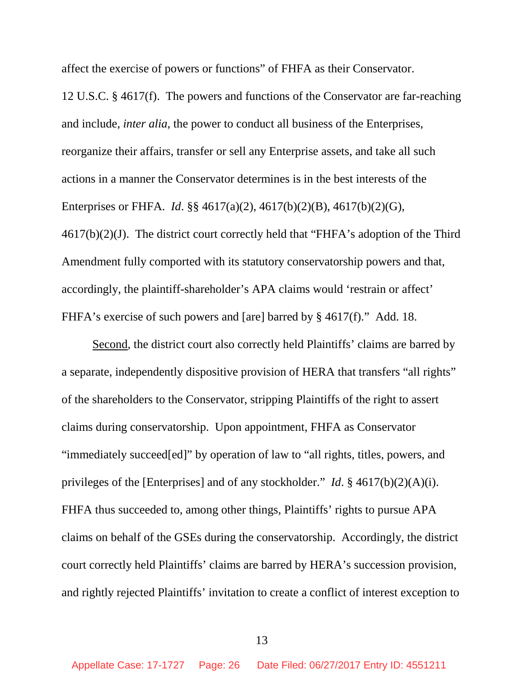affect the exercise of powers or functions" of FHFA as their Conservator.

12 U.S.C. § 4617(f). The powers and functions of the Conservator are far-reaching and include, *inter alia*, the power to conduct all business of the Enterprises, reorganize their affairs, transfer or sell any Enterprise assets, and take all such actions in a manner the Conservator determines is in the best interests of the Enterprises or FHFA. *Id*. §§ 4617(a)(2), 4617(b)(2)(B), 4617(b)(2)(G),  $4617(b)(2)(J)$ . The district court correctly held that "FHFA's adoption of the Third Amendment fully comported with its statutory conservatorship powers and that, accordingly, the plaintiff-shareholder's APA claims would 'restrain or affect' FHFA's exercise of such powers and [are] barred by § 4617(f)." Add. 18.

Second, the district court also correctly held Plaintiffs' claims are barred by a separate, independently dispositive provision of HERA that transfers "all rights" of the shareholders to the Conservator, stripping Plaintiffs of the right to assert claims during conservatorship. Upon appointment, FHFA as Conservator "immediately succeed[ed]" by operation of law to "all rights, titles, powers, and privileges of the [Enterprises] and of any stockholder." *Id*. § 4617(b)(2)(A)(i). FHFA thus succeeded to, among other things, Plaintiffs' rights to pursue APA claims on behalf of the GSEs during the conservatorship. Accordingly, the district court correctly held Plaintiffs' claims are barred by HERA's succession provision, and rightly rejected Plaintiffs' invitation to create a conflict of interest exception to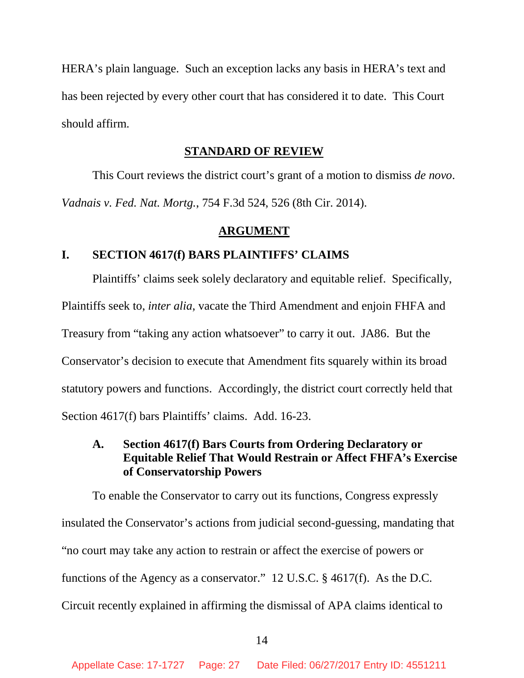HERA's plain language. Such an exception lacks any basis in HERA's text and has been rejected by every other court that has considered it to date. This Court should affirm.

#### **STANDARD OF REVIEW**

This Court reviews the district court's grant of a motion to dismiss *de novo*. *Vadnais v. Fed. Nat. Mortg.*, 754 F.3d 524, 526 (8th Cir. 2014).

#### **ARGUMENT**

### **I. SECTION 4617(f) BARS PLAINTIFFS' CLAIMS**

Plaintiffs' claims seek solely declaratory and equitable relief. Specifically, Plaintiffs seek to, *inter alia*, vacate the Third Amendment and enjoin FHFA and Treasury from "taking any action whatsoever" to carry it out. JA86. But the Conservator's decision to execute that Amendment fits squarely within its broad statutory powers and functions. Accordingly, the district court correctly held that Section 4617(f) bars Plaintiffs' claims. Add. 16-23.

## **A. Section 4617(f) Bars Courts from Ordering Declaratory or Equitable Relief That Would Restrain or Affect FHFA's Exercise of Conservatorship Powers**

To enable the Conservator to carry out its functions, Congress expressly insulated the Conservator's actions from judicial second-guessing, mandating that "no court may take any action to restrain or affect the exercise of powers or functions of the Agency as a conservator." 12 U.S.C. § 4617(f). As the D.C. Circuit recently explained in affirming the dismissal of APA claims identical to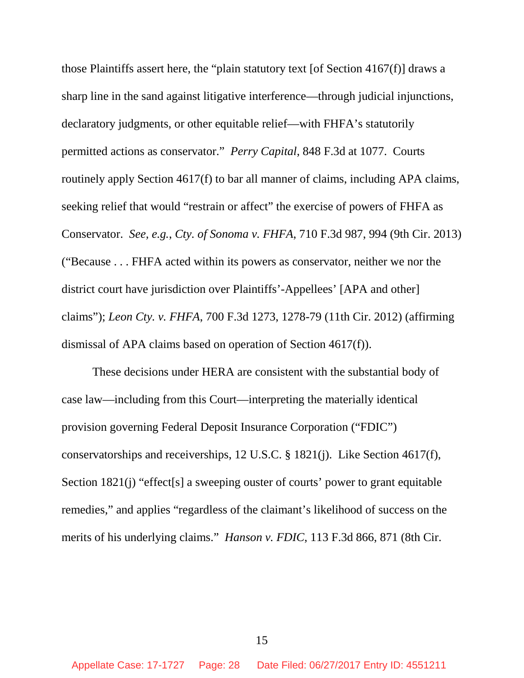those Plaintiffs assert here, the "plain statutory text [of Section 4167(f)] draws a sharp line in the sand against litigative interference—through judicial injunctions, declaratory judgments, or other equitable relief—with FHFA's statutorily permitted actions as conservator." *Perry Capital*, 848 F.3d at 1077. Courts routinely apply Section 4617(f) to bar all manner of claims, including APA claims, seeking relief that would "restrain or affect" the exercise of powers of FHFA as Conservator. *See, e.g.*, *Cty. of Sonoma v. FHFA*, 710 F.3d 987, 994 (9th Cir. 2013) ("Because . . . FHFA acted within its powers as conservator, neither we nor the district court have jurisdiction over Plaintiffs'-Appellees' [APA and other] claims"); *Leon Cty. v. FHFA*, 700 F.3d 1273, 1278-79 (11th Cir. 2012) (affirming dismissal of APA claims based on operation of Section 4617(f)).

These decisions under HERA are consistent with the substantial body of case law—including from this Court—interpreting the materially identical provision governing Federal Deposit Insurance Corporation ("FDIC") conservatorships and receiverships, 12 U.S.C. § 1821(j). Like Section 4617(f), Section 1821(j) "effect<sup>[s]</sup> a sweeping ouster of courts' power to grant equitable remedies," and applies "regardless of the claimant's likelihood of success on the merits of his underlying claims." *Hanson v. FDIC*, 113 F.3d 866, 871 (8th Cir.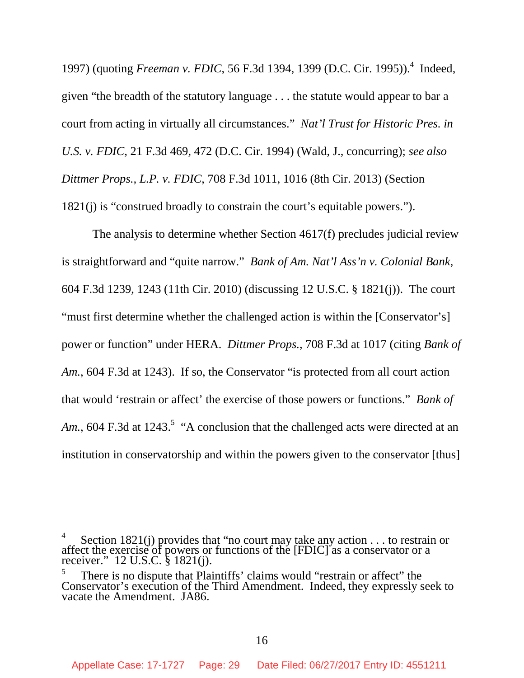1997) (quoting *Freeman v. FDIC*, 56 F.3d 1394, 1399 (D.C. Cir. 1995)).<sup>4</sup> Indeed, given "the breadth of the statutory language . . . the statute would appear to bar a court from acting in virtually all circumstances." *Nat'l Trust for Historic Pres. in U.S. v. FDIC*, 21 F.3d 469, 472 (D.C. Cir. 1994) (Wald, J., concurring); *see also Dittmer Props., L.P. v. FDIC*, 708 F.3d 1011, 1016 (8th Cir. 2013) (Section 1821(j) is "construed broadly to constrain the court's equitable powers.").

The analysis to determine whether Section 4617(f) precludes judicial review is straightforward and "quite narrow." *Bank of Am. Nat'l Ass'n v. Colonial Bank*, 604 F.3d 1239, 1243 (11th Cir. 2010) (discussing 12 U.S.C. § 1821(j)). The court "must first determine whether the challenged action is within the [Conservator's] power or function" under HERA. *Dittmer Props.*, 708 F.3d at 1017 (citing *Bank of Am.*, 604 F.3d at 1243). If so, the Conservator "is protected from all court action that would 'restrain or affect' the exercise of those powers or functions." *Bank of* Am., 604 F.3d at 1243.<sup>5</sup> "A conclusion that the challenged acts were directed at an institution in conservatorship and within the powers given to the conservator [thus]

<sup>4</sup> Section 1821(j) provides that "no court may take any action . . . to restrain or affect the exercise of powers or functions of the [FDIC] as a conservator or a receiver." 12 U.S.C. § 1821(j).

<sup>5</sup> There is no dispute that Plaintiffs' claims would "restrain or affect" the Conservator's execution of the Third Amendment. Indeed, they expressly seek to vacate the Amendment. JA86.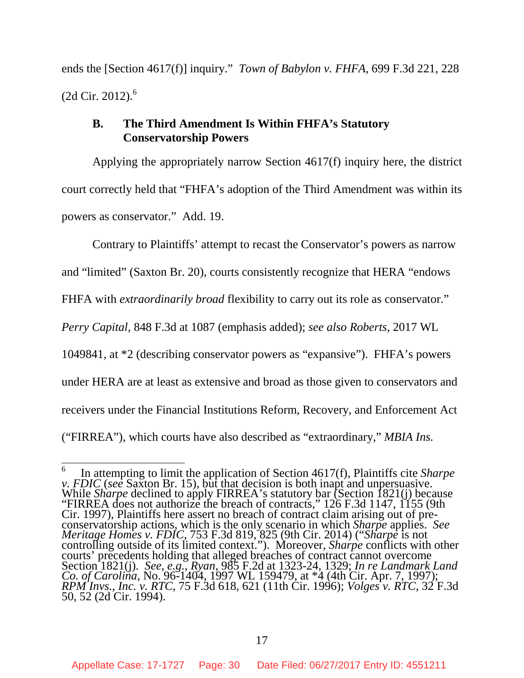ends the [Section 4617(f)] inquiry." *Town of Babylon v. FHFA*, 699 F.3d 221, 228  $(2d$  Cir. 2012). $^{6}$ 

### **B. The Third Amendment Is Within FHFA's Statutory Conservatorship Powers**

Applying the appropriately narrow Section 4617(f) inquiry here, the district court correctly held that "FHFA's adoption of the Third Amendment was within its powers as conservator." Add. 19.

Contrary to Plaintiffs' attempt to recast the Conservator's powers as narrow and "limited" (Saxton Br. 20), courts consistently recognize that HERA "endows FHFA with *extraordinarily broad* flexibility to carry out its role as conservator." *Perry Capital*, 848 F.3d at 1087 (emphasis added); *see also Roberts*, 2017 WL 1049841, at \*2 (describing conservator powers as "expansive"). FHFA's powers under HERA are at least as extensive and broad as those given to conservators and receivers under the Financial Institutions Reform, Recovery, and Enforcement Act ("FIRREA"), which courts have also described as "extraordinary," *MBIA Ins.*

<sup>6</sup> In attempting to limit the application of Section 4617(f), Plaintiffs cite *Sharpe v. FDIC* (*see* Saxton Br. 15), but that decision is both inapt and unpersuasive. While *Sharpe* declined to apply FIRREA's statutory bar (Section 1821(j) because "FIRREA does not authorize the breach of contracts," 126 F.3d 1147, 1155 (9th Cir. 1997), Plaintiffs here assert no breach of contract claim arising out of preconservatorship actions, which is the only scenario in which *Sharpe* applies. *See Meritage Homes v. FDIC*, 753 F.3d 819, 825 (9th Cir. 2014) ("*Sharpe* is not controlling outside of its limited context."). Moreover, *Sharpe* conflicts with other courts' precedents holding that alleged breaches of contract cannot overcome Section 1821(j). *See, e.g.*, *Ryan*, 985 F.2d at 1323-24, 1329; *In re Landmark Land Co. of Carolina*, No. 96-1404, 1997 WL 159479, at \*4 (4th Cir. Apr. 7, 1997); *RPM Invs., Inc. v. RTC*, 75 F.3d 618, 621 (11th Cir. 1996); *Volges v. RTC*, 32 F.3d 50, 52 (2d Cir. 1994).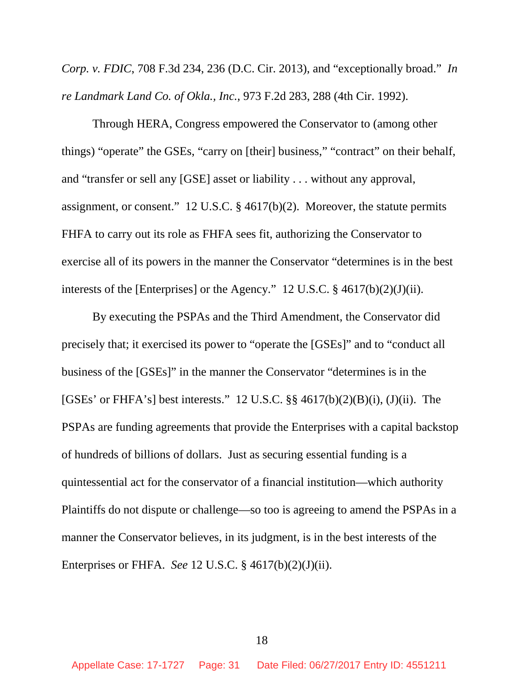*Corp. v. FDIC*, 708 F.3d 234, 236 (D.C. Cir. 2013), and "exceptionally broad." *In re Landmark Land Co. of Okla., Inc.*, 973 F.2d 283, 288 (4th Cir. 1992).

Through HERA, Congress empowered the Conservator to (among other things) "operate" the GSEs, "carry on [their] business," "contract" on their behalf, and "transfer or sell any [GSE] asset or liability . . . without any approval, assignment, or consent." 12 U.S.C. § 4617(b)(2). Moreover, the statute permits FHFA to carry out its role as FHFA sees fit, authorizing the Conservator to exercise all of its powers in the manner the Conservator "determines is in the best interests of the [Enterprises] or the Agency." 12 U.S.C.  $\S$  4617(b)(2)(J)(ii).

By executing the PSPAs and the Third Amendment, the Conservator did precisely that; it exercised its power to "operate the [GSEs]" and to "conduct all business of the [GSEs]" in the manner the Conservator "determines is in the [GSEs' or FHFA's] best interests." 12 U.S.C.  $\S$ § 4617(b)(2)(B)(i), (J)(ii). The PSPAs are funding agreements that provide the Enterprises with a capital backstop of hundreds of billions of dollars. Just as securing essential funding is a quintessential act for the conservator of a financial institution—which authority Plaintiffs do not dispute or challenge—so too is agreeing to amend the PSPAs in a manner the Conservator believes, in its judgment, is in the best interests of the Enterprises or FHFA. *See* 12 U.S.C. § 4617(b)(2)(J)(ii).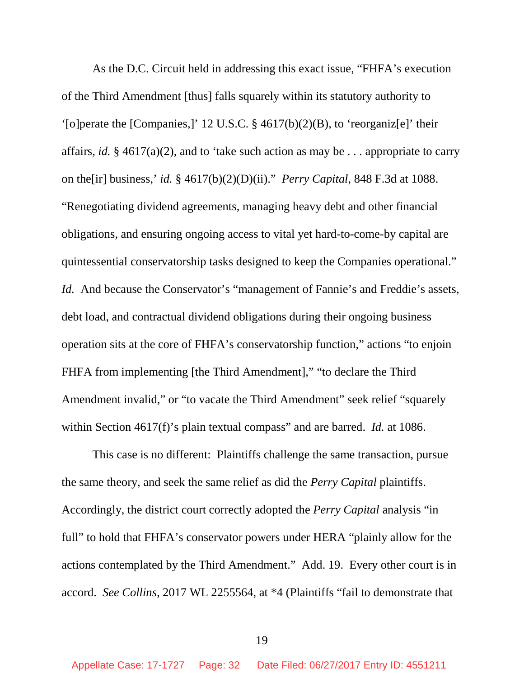As the D.C. Circuit held in addressing this exact issue, "FHFA's execution of the Third Amendment [thus] falls squarely within its statutory authority to '[o]perate the [Companies,]' 12 U.S.C. § 4617(b)(2)(B), to 'reorganiz[e]' their affairs, *id.* § 4617(a)(2), and to 'take such action as may be . . . appropriate to carry on the[ir] business,' *id.* § 4617(b)(2)(D)(ii)." *Perry Capital*, 848 F.3d at 1088. "Renegotiating dividend agreements, managing heavy debt and other financial obligations, and ensuring ongoing access to vital yet hard-to-come-by capital are quintessential conservatorship tasks designed to keep the Companies operational." *Id.* And because the Conservator's "management of Fannie's and Freddie's assets, debt load, and contractual dividend obligations during their ongoing business operation sits at the core of FHFA's conservatorship function," actions "to enjoin FHFA from implementing [the Third Amendment]," "to declare the Third Amendment invalid," or "to vacate the Third Amendment" seek relief "squarely within Section 4617(f)'s plain textual compass" and are barred. *Id.* at 1086.

This case is no different: Plaintiffs challenge the same transaction, pursue the same theory, and seek the same relief as did the *Perry Capital* plaintiffs. Accordingly, the district court correctly adopted the *Perry Capital* analysis "in full" to hold that FHFA's conservator powers under HERA "plainly allow for the actions contemplated by the Third Amendment." Add. 19. Every other court is in accord. *See Collins*, 2017 WL 2255564, at \*4 (Plaintiffs "fail to demonstrate that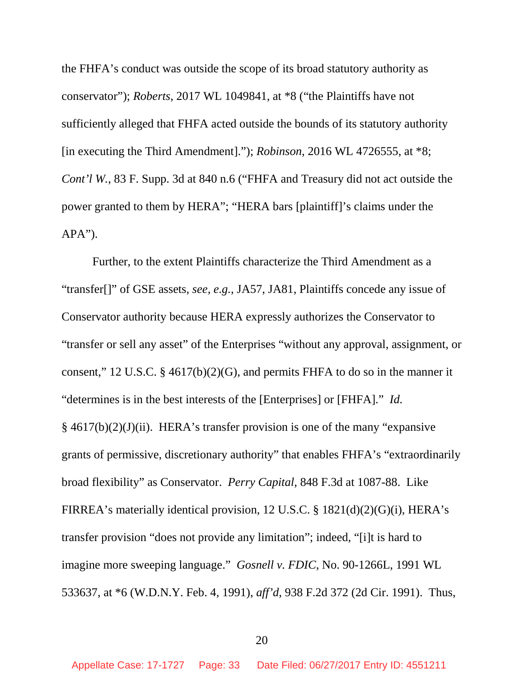the FHFA's conduct was outside the scope of its broad statutory authority as conservator"); *Roberts*, 2017 WL 1049841, at \*8 ("the Plaintiffs have not sufficiently alleged that FHFA acted outside the bounds of its statutory authority [in executing the Third Amendment]."); *Robinson*, 2016 WL 4726555, at \*8; *Cont'l W.*, 83 F. Supp. 3d at 840 n.6 ("FHFA and Treasury did not act outside the power granted to them by HERA"; "HERA bars [plaintiff]'s claims under the  $APA$ ").

Further, to the extent Plaintiffs characterize the Third Amendment as a "transfer[]" of GSE assets, *see, e.g.*, JA57, JA81, Plaintiffs concede any issue of Conservator authority because HERA expressly authorizes the Conservator to "transfer or sell any asset" of the Enterprises "without any approval, assignment, or consent," 12 U.S.C. § 4617(b)(2)(G), and permits FHFA to do so in the manner it "determines is in the best interests of the [Enterprises] or [FHFA]." *Id.* § 4617(b)(2)(J)(ii). HERA's transfer provision is one of the many "expansive grants of permissive, discretionary authority" that enables FHFA's "extraordinarily broad flexibility" as Conservator. *Perry Capital*, 848 F.3d at 1087-88. Like FIRREA's materially identical provision, 12 U.S.C. § 1821(d)(2)(G)(i), HERA's transfer provision "does not provide any limitation"; indeed, "[i]t is hard to imagine more sweeping language." *Gosnell v. FDIC*, No. 90-1266L, 1991 WL 533637, at \*6 (W.D.N.Y. Feb. 4, 1991), *aff'd*, 938 F.2d 372 (2d Cir. 1991). Thus,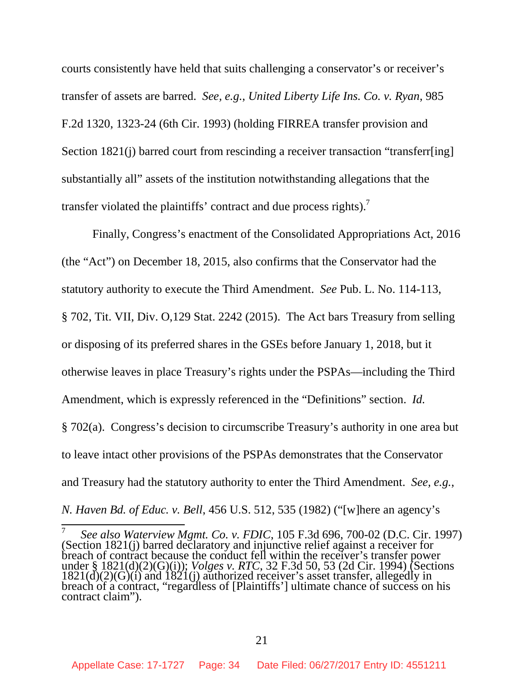courts consistently have held that suits challenging a conservator's or receiver's transfer of assets are barred. *See, e.g.*, *United Liberty Life Ins. Co. v. Ryan*, 985 F.2d 1320, 1323-24 (6th Cir. 1993) (holding FIRREA transfer provision and Section 1821(j) barred court from rescinding a receiver transaction "transferr[ing] substantially all" assets of the institution notwithstanding allegations that the transfer violated the plaintiffs' contract and due process rights).<sup>7</sup>

Finally, Congress's enactment of the Consolidated Appropriations Act, 2016 (the "Act") on December 18, 2015, also confirms that the Conservator had the statutory authority to execute the Third Amendment. *See* Pub. L. No. 114-113, § 702, Tit. VII, Div. O,129 Stat. 2242 (2015). The Act bars Treasury from selling or disposing of its preferred shares in the GSEs before January 1, 2018, but it otherwise leaves in place Treasury's rights under the PSPAs—including the Third Amendment, which is expressly referenced in the "Definitions" section. *Id.* § 702(a). Congress's decision to circumscribe Treasury's authority in one area but to leave intact other provisions of the PSPAs demonstrates that the Conservator and Treasury had the statutory authority to enter the Third Amendment. *See, e.g.*, *N. Haven Bd. of Educ. v. Bell*, 456 U.S. 512, 535 (1982) ("[w]here an agency's

<sup>7</sup> *See also Waterview Mgmt. Co. v. FDIC*, 105 F.3d 696, 700-02 (D.C. Cir. 1997) (Section 1821(j) barred declaratory and injunctive relief against a receiver for breach of contract because the conduct fell within the receiver's transfer power under § 1821(d)(2)(G)(i)); *Volges v. RTC*, 32 F.3d 50, 53 (2d Cir. 1994) (Sections  $1821(\text{d})(2)(\text{G})(i)$  and  $1821(\text{j})$  authorized receiver's asset transfer, allegedly in breach of a contract, "regardless of [Plaintiffs'] ultimate chance of success on his contract claim").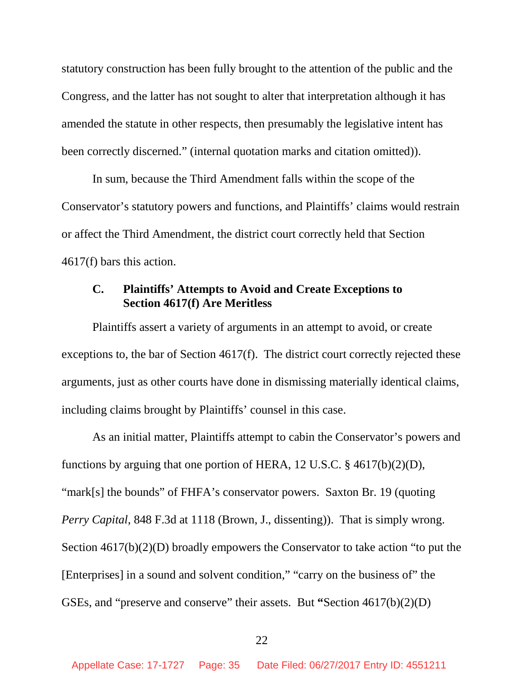statutory construction has been fully brought to the attention of the public and the Congress, and the latter has not sought to alter that interpretation although it has amended the statute in other respects, then presumably the legislative intent has been correctly discerned." (internal quotation marks and citation omitted)).

In sum, because the Third Amendment falls within the scope of the Conservator's statutory powers and functions, and Plaintiffs' claims would restrain or affect the Third Amendment, the district court correctly held that Section 4617(f) bars this action.

## **C. Plaintiffs' Attempts to Avoid and Create Exceptions to Section 4617(f) Are Meritless**

Plaintiffs assert a variety of arguments in an attempt to avoid, or create exceptions to, the bar of Section 4617(f). The district court correctly rejected these arguments, just as other courts have done in dismissing materially identical claims, including claims brought by Plaintiffs' counsel in this case.

As an initial matter, Plaintiffs attempt to cabin the Conservator's powers and functions by arguing that one portion of HERA, 12 U.S.C. § 4617(b)(2)(D), "mark[s] the bounds" of FHFA's conservator powers. Saxton Br. 19 (quoting *Perry Capital*, 848 F.3d at 1118 (Brown, J., dissenting)). That is simply wrong. Section 4617(b)(2)(D) broadly empowers the Conservator to take action "to put the [Enterprises] in a sound and solvent condition," "carry on the business of" the GSEs, and "preserve and conserve" their assets. But **"**Section 4617(b)(2)(D)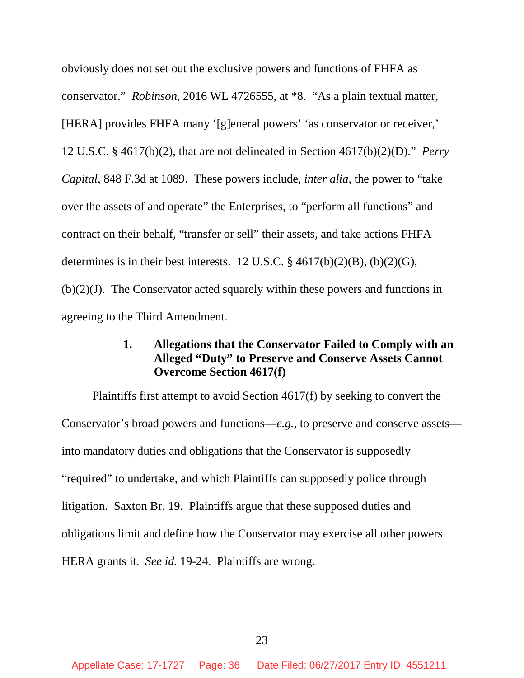obviously does not set out the exclusive powers and functions of FHFA as conservator." *Robinson*, 2016 WL 4726555, at \*8. "As a plain textual matter, [HERA] provides FHFA many '[g]eneral powers' 'as conservator or receiver,' 12 U.S.C. § 4617(b)(2), that are not delineated in Section 4617(b)(2)(D)." *Perry Capital*, 848 F.3d at 1089. These powers include, *inter alia*, the power to "take over the assets of and operate" the Enterprises, to "perform all functions" and contract on their behalf, "transfer or sell" their assets, and take actions FHFA determines is in their best interests. 12 U.S.C.  $\frac{84617(b)(2)(B)}{20(G)}$ ,  $(b)(2)(J)$ . The Conservator acted squarely within these powers and functions in agreeing to the Third Amendment.

## **1. Allegations that the Conservator Failed to Comply with an Alleged "Duty" to Preserve and Conserve Assets Cannot Overcome Section 4617(f)**

Plaintiffs first attempt to avoid Section 4617(f) by seeking to convert the Conservator's broad powers and functions—*e.g.*, to preserve and conserve assets into mandatory duties and obligations that the Conservator is supposedly "required" to undertake, and which Plaintiffs can supposedly police through litigation. Saxton Br. 19. Plaintiffs argue that these supposed duties and obligations limit and define how the Conservator may exercise all other powers HERA grants it. *See id.* 19-24. Plaintiffs are wrong.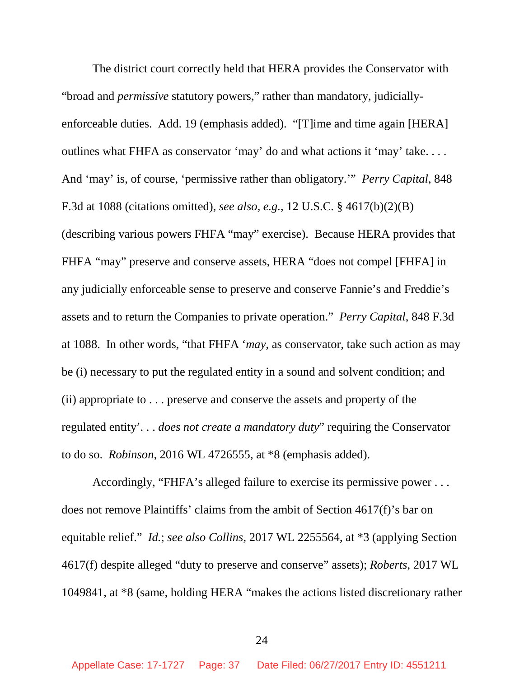The district court correctly held that HERA provides the Conservator with "broad and *permissive* statutory powers," rather than mandatory, judiciallyenforceable duties. Add. 19 (emphasis added). "[T]ime and time again [HERA] outlines what FHFA as conservator 'may' do and what actions it 'may' take. . . . And 'may' is, of course, 'permissive rather than obligatory.'" *Perry Capital*, 848 F.3d at 1088 (citations omitted), *see also, e.g.*, 12 U.S.C. § 4617(b)(2)(B) (describing various powers FHFA "may" exercise). Because HERA provides that FHFA "may" preserve and conserve assets, HERA "does not compel [FHFA] in any judicially enforceable sense to preserve and conserve Fannie's and Freddie's assets and to return the Companies to private operation." *Perry Capital*, 848 F.3d at 1088. In other words, "that FHFA '*may*, as conservator, take such action as may be (i) necessary to put the regulated entity in a sound and solvent condition; and (ii) appropriate to . . . preserve and conserve the assets and property of the regulated entity'. . . *does not create a mandatory duty*" requiring the Conservator to do so. *Robinson*, 2016 WL 4726555, at \*8 (emphasis added).

Accordingly, "FHFA's alleged failure to exercise its permissive power . . . does not remove Plaintiffs' claims from the ambit of Section 4617(f)'s bar on equitable relief." *Id.*; *see also Collins*, 2017 WL 2255564, at \*3 (applying Section 4617(f) despite alleged "duty to preserve and conserve" assets); *Roberts*, 2017 WL 1049841, at \*8 (same, holding HERA "makes the actions listed discretionary rather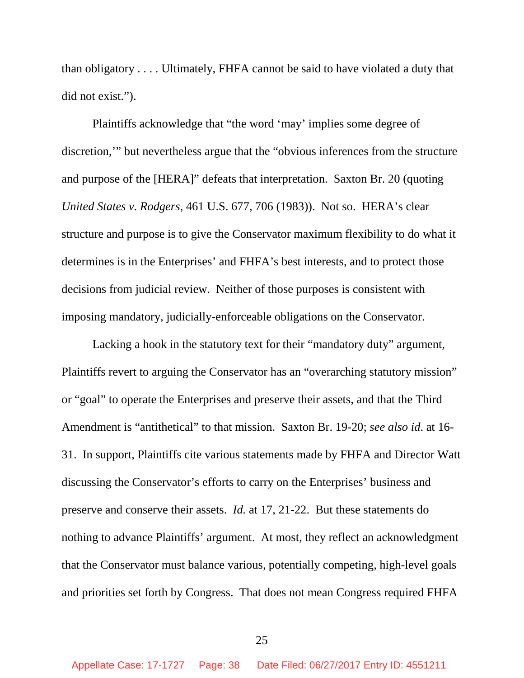than obligatory . . . . Ultimately, FHFA cannot be said to have violated a duty that did not exist.").

Plaintiffs acknowledge that "the word 'may' implies some degree of discretion,'" but nevertheless argue that the "obvious inferences from the structure and purpose of the [HERA]" defeats that interpretation. Saxton Br. 20 (quoting *United States v. Rodgers*, 461 U.S. 677, 706 (1983)). Not so. HERA's clear structure and purpose is to give the Conservator maximum flexibility to do what it determines is in the Enterprises' and FHFA's best interests, and to protect those decisions from judicial review. Neither of those purposes is consistent with imposing mandatory, judicially-enforceable obligations on the Conservator.

Lacking a hook in the statutory text for their "mandatory duty" argument, Plaintiffs revert to arguing the Conservator has an "overarching statutory mission" or "goal" to operate the Enterprises and preserve their assets, and that the Third Amendment is "antithetical" to that mission. Saxton Br. 19-20; *see also id*. at 16- 31. In support, Plaintiffs cite various statements made by FHFA and Director Watt discussing the Conservator's efforts to carry on the Enterprises' business and preserve and conserve their assets. *Id.* at 17, 21-22. But these statements do nothing to advance Plaintiffs' argument. At most, they reflect an acknowledgment that the Conservator must balance various, potentially competing, high-level goals and priorities set forth by Congress. That does not mean Congress required FHFA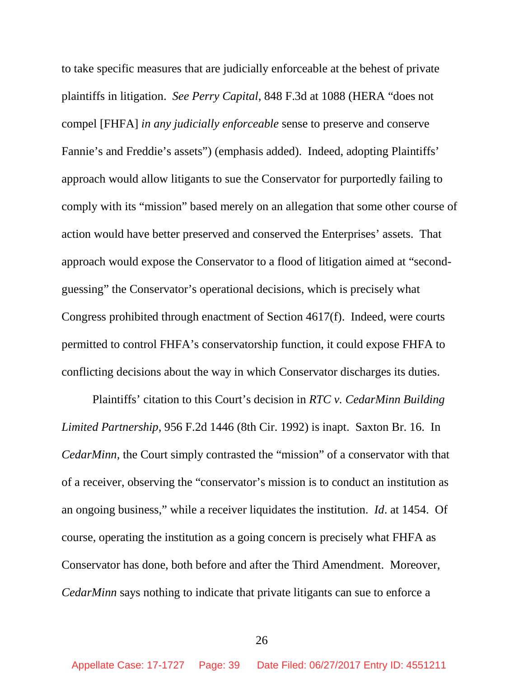to take specific measures that are judicially enforceable at the behest of private plaintiffs in litigation. *See Perry Capital*, 848 F.3d at 1088 (HERA "does not compel [FHFA] *in any judicially enforceable* sense to preserve and conserve Fannie's and Freddie's assets") (emphasis added). Indeed, adopting Plaintiffs' approach would allow litigants to sue the Conservator for purportedly failing to comply with its "mission" based merely on an allegation that some other course of action would have better preserved and conserved the Enterprises' assets. That approach would expose the Conservator to a flood of litigation aimed at "secondguessing" the Conservator's operational decisions, which is precisely what Congress prohibited through enactment of Section 4617(f). Indeed, were courts permitted to control FHFA's conservatorship function, it could expose FHFA to conflicting decisions about the way in which Conservator discharges its duties.

Plaintiffs' citation to this Court's decision in *RTC v. CedarMinn Building Limited Partnership*, 956 F.2d 1446 (8th Cir. 1992) is inapt. Saxton Br. 16. In *CedarMinn*, the Court simply contrasted the "mission" of a conservator with that of a receiver, observing the "conservator's mission is to conduct an institution as an ongoing business," while a receiver liquidates the institution. *Id*. at 1454. Of course, operating the institution as a going concern is precisely what FHFA as Conservator has done, both before and after the Third Amendment. Moreover, *CedarMinn* says nothing to indicate that private litigants can sue to enforce a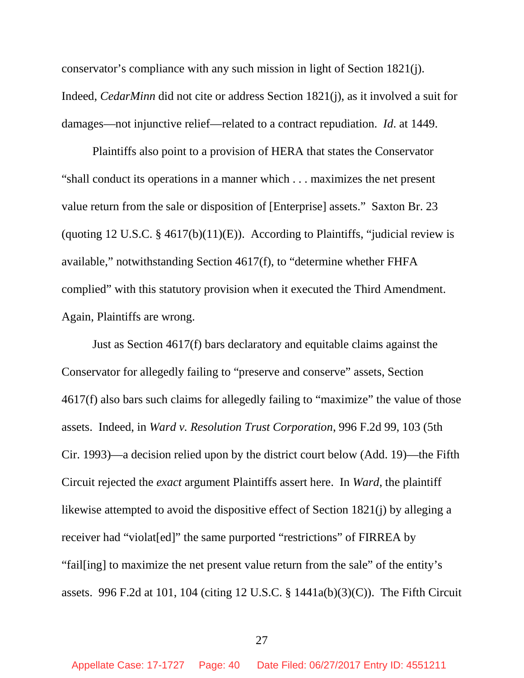conservator's compliance with any such mission in light of Section 1821(j). Indeed, *CedarMinn* did not cite or address Section 1821(j), as it involved a suit for damages—not injunctive relief—related to a contract repudiation. *Id*. at 1449.

Plaintiffs also point to a provision of HERA that states the Conservator "shall conduct its operations in a manner which . . . maximizes the net present value return from the sale or disposition of [Enterprise] assets." Saxton Br. 23 (quoting 12 U.S.C.  $\S$  4617(b)(11)(E)). According to Plaintiffs, "judicial review is available," notwithstanding Section 4617(f), to "determine whether FHFA complied" with this statutory provision when it executed the Third Amendment. Again, Plaintiffs are wrong.

Just as Section 4617(f) bars declaratory and equitable claims against the Conservator for allegedly failing to "preserve and conserve" assets, Section 4617(f) also bars such claims for allegedly failing to "maximize" the value of those assets. Indeed, in *Ward v. Resolution Trust Corporation*, 996 F.2d 99, 103 (5th Cir. 1993)—a decision relied upon by the district court below (Add. 19)—the Fifth Circuit rejected the *exact* argument Plaintiffs assert here. In *Ward*, the plaintiff likewise attempted to avoid the dispositive effect of Section 1821(j) by alleging a receiver had "violat[ed]" the same purported "restrictions" of FIRREA by "fail[ing] to maximize the net present value return from the sale" of the entity's assets. 996 F.2d at 101, 104 (citing 12 U.S.C. § 1441a(b)(3)(C)). The Fifth Circuit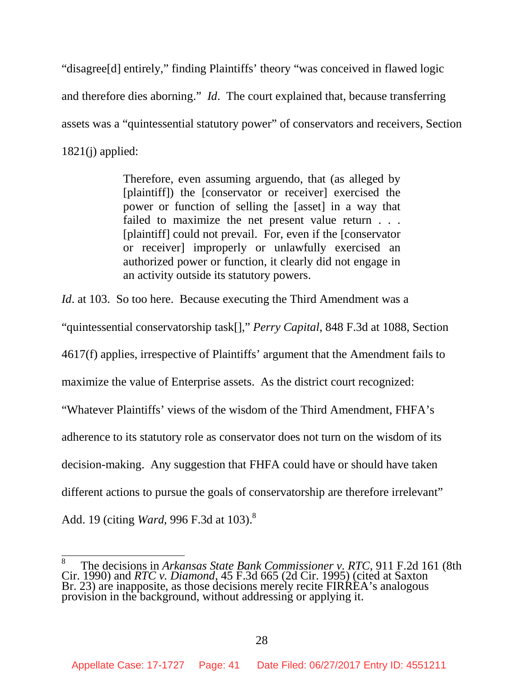"disagree[d] entirely," finding Plaintiffs' theory "was conceived in flawed logic and therefore dies aborning." *Id*. The court explained that, because transferring assets was a "quintessential statutory power" of conservators and receivers, Section  $1821(i)$  applied:

> Therefore, even assuming arguendo, that (as alleged by [plaintiff]) the [conservator or receiver] exercised the power or function of selling the [asset] in a way that failed to maximize the net present value return . . . [plaintiff] could not prevail. For, even if the [conservator or receiver] improperly or unlawfully exercised an authorized power or function, it clearly did not engage in an activity outside its statutory powers.

*Id.* at 103. So too here. Because executing the Third Amendment was a

"quintessential conservatorship task[]," *Perry Capital*, 848 F.3d at 1088, Section

4617(f) applies, irrespective of Plaintiffs' argument that the Amendment fails to

maximize the value of Enterprise assets. As the district court recognized:

"Whatever Plaintiffs' views of the wisdom of the Third Amendment, FHFA's

adherence to its statutory role as conservator does not turn on the wisdom of its

decision-making. Any suggestion that FHFA could have or should have taken

different actions to pursue the goals of conservatorship are therefore irrelevant"

Add. 19 (citing *Ward*, 996 F.3d at 103).<sup>8</sup>

<sup>8</sup> The decisions in *Arkansas State Bank Commissioner v. RTC*, 911 F.2d 161 (8th Cir. 1990) and *RTC v. Diamond*, 45 F.3d 665 (2d Cir. 1995) (cited at Saxton Br. 23) are inapposite, as those decisions merely recite FIRREA's analogous provision in the background, without addressing or applying it.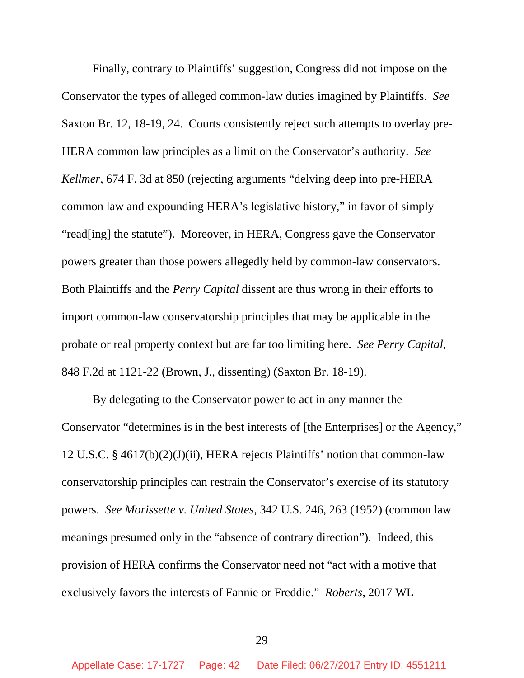Finally, contrary to Plaintiffs' suggestion, Congress did not impose on the Conservator the types of alleged common-law duties imagined by Plaintiffs. *See* Saxton Br. 12, 18-19, 24. Courts consistently reject such attempts to overlay pre-HERA common law principles as a limit on the Conservator's authority. *See Kellmer*, 674 F. 3d at 850 (rejecting arguments "delving deep into pre-HERA common law and expounding HERA's legislative history," in favor of simply "read[ing] the statute"). Moreover, in HERA, Congress gave the Conservator powers greater than those powers allegedly held by common-law conservators. Both Plaintiffs and the *Perry Capital* dissent are thus wrong in their efforts to import common-law conservatorship principles that may be applicable in the probate or real property context but are far too limiting here. *See Perry Capital*, 848 F.2d at 1121-22 (Brown, J., dissenting) (Saxton Br. 18-19).

By delegating to the Conservator power to act in any manner the Conservator "determines is in the best interests of [the Enterprises] or the Agency," 12 U.S.C. § 4617(b)(2)(J)(ii), HERA rejects Plaintiffs' notion that common-law conservatorship principles can restrain the Conservator's exercise of its statutory powers. *See Morissette v. United States*, 342 U.S. 246, 263 (1952) (common law meanings presumed only in the "absence of contrary direction"). Indeed, this provision of HERA confirms the Conservator need not "act with a motive that exclusively favors the interests of Fannie or Freddie." *Roberts*, 2017 WL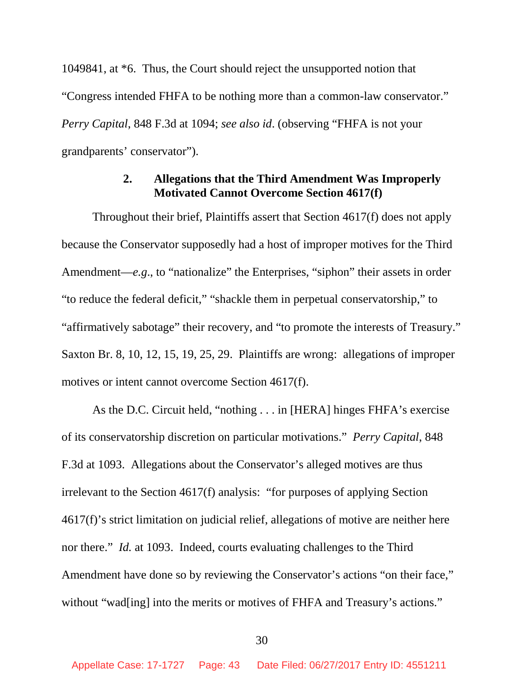1049841, at \*6. Thus, the Court should reject the unsupported notion that "Congress intended FHFA to be nothing more than a common-law conservator." *Perry Capital*, 848 F.3d at 1094; *see also id*. (observing "FHFA is not your grandparents' conservator").

## **2. Allegations that the Third Amendment Was Improperly Motivated Cannot Overcome Section 4617(f)**

Throughout their brief, Plaintiffs assert that Section 4617(f) does not apply because the Conservator supposedly had a host of improper motives for the Third Amendment—*e.g*., to "nationalize" the Enterprises, "siphon" their assets in order "to reduce the federal deficit," "shackle them in perpetual conservatorship," to "affirmatively sabotage" their recovery, and "to promote the interests of Treasury." Saxton Br. 8, 10, 12, 15, 19, 25, 29. Plaintiffs are wrong: allegations of improper motives or intent cannot overcome Section 4617(f).

As the D.C. Circuit held, "nothing . . . in [HERA] hinges FHFA's exercise of its conservatorship discretion on particular motivations." *Perry Capital*, 848 F.3d at 1093. Allegations about the Conservator's alleged motives are thus irrelevant to the Section 4617(f) analysis: "for purposes of applying Section 4617(f)'s strict limitation on judicial relief, allegations of motive are neither here nor there." *Id.* at 1093. Indeed, courts evaluating challenges to the Third Amendment have done so by reviewing the Conservator's actions "on their face," without "wad[ing] into the merits or motives of FHFA and Treasury's actions."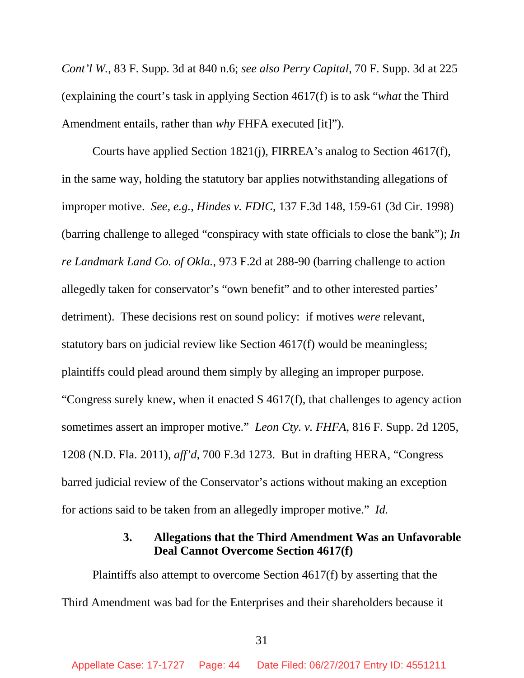*Cont'l W.*, 83 F. Supp. 3d at 840 n.6; *see also Perry Capital*, 70 F. Supp. 3d at 225 (explaining the court's task in applying Section 4617(f) is to ask "*what* the Third Amendment entails, rather than *why* FHFA executed [it]").

Courts have applied Section 1821(j), FIRREA's analog to Section 4617(f), in the same way, holding the statutory bar applies notwithstanding allegations of improper motive. *See, e.g.*, *Hindes v. FDIC*, 137 F.3d 148, 159-61 (3d Cir. 1998) (barring challenge to alleged "conspiracy with state officials to close the bank"); *In re Landmark Land Co. of Okla.*, 973 F.2d at 288-90 (barring challenge to action allegedly taken for conservator's "own benefit" and to other interested parties' detriment). These decisions rest on sound policy: if motives *were* relevant, statutory bars on judicial review like Section 4617(f) would be meaningless; plaintiffs could plead around them simply by alleging an improper purpose. "Congress surely knew, when it enacted S 4617(f), that challenges to agency action sometimes assert an improper motive." *Leon Cty. v. FHFA*, 816 F. Supp. 2d 1205, 1208 (N.D. Fla. 2011), *aff'd*, 700 F.3d 1273. But in drafting HERA, "Congress barred judicial review of the Conservator's actions without making an exception for actions said to be taken from an allegedly improper motive." *Id.*

# **3. Allegations that the Third Amendment Was an Unfavorable Deal Cannot Overcome Section 4617(f)**

Plaintiffs also attempt to overcome Section 4617(f) by asserting that the Third Amendment was bad for the Enterprises and their shareholders because it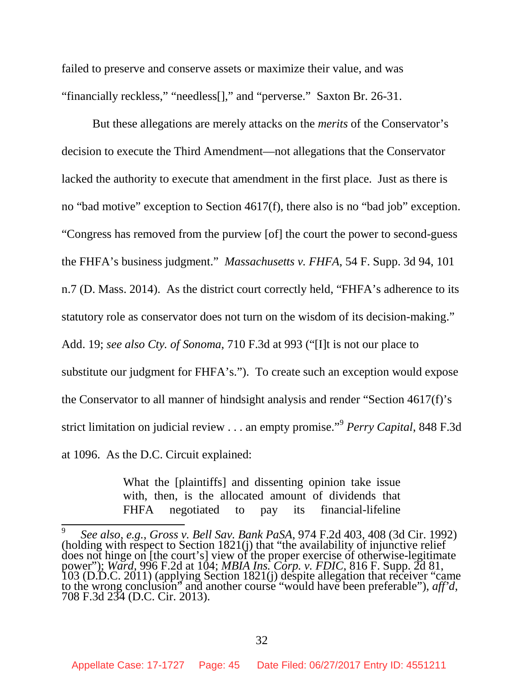failed to preserve and conserve assets or maximize their value, and was "financially reckless," "needless[]," and "perverse." Saxton Br. 26-31.

But these allegations are merely attacks on the *merits* of the Conservator's decision to execute the Third Amendment—not allegations that the Conservator lacked the authority to execute that amendment in the first place. Just as there is no "bad motive" exception to Section 4617(f), there also is no "bad job" exception. "Congress has removed from the purview [of] the court the power to second-guess the FHFA's business judgment." *Massachusetts v. FHFA*, 54 F. Supp. 3d 94, 101 n.7 (D. Mass. 2014). As the district court correctly held, "FHFA's adherence to its statutory role as conservator does not turn on the wisdom of its decision-making." Add. 19; *see also Cty. of Sonoma*, 710 F.3d at 993 ("[I]t is not our place to substitute our judgment for FHFA's."). To create such an exception would expose the Conservator to all manner of hindsight analysis and render "Section 4617(f)'s strict limitation on judicial review . . . an empty promise."<sup>9</sup> *Perry Capital*, 848 F.3d at 1096. As the D.C. Circuit explained:

> What the [plaintiffs] and dissenting opinion take issue with, then, is the allocated amount of dividends that FHFA negotiated to pay its financial-lifeline

<sup>9</sup> *See also, e.g.*, *Gross v. Bell Sav. Bank PaSA*, 974 F.2d 403, 408 (3d Cir. 1992) (holding with respect to Section 1821(j) that "the availability of injunctive relief does not hinge on [the court's] view of the proper exercise of otherwise-legitimate power"); *Ward,* 996 F.2d at 104; *MBIA Ins. Corp. v. FDIC*, 816 F. Supp. 2d 81, 103 (D.D.C. 2011) (applying Section 1821(j) despite allegation that receiver "came to the wrong conclusion" and another course "would have been preferable"), *aff'd*, 708 F.3d 234 (D.C. Cir. 2013).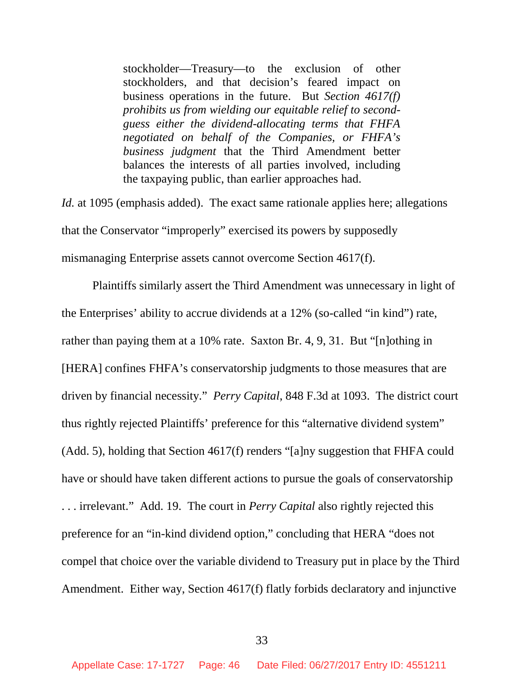stockholder—Treasury—to the exclusion of other stockholders, and that decision's feared impact on business operations in the future. But *Section 4617(f) prohibits us from wielding our equitable relief to secondguess either the dividend-allocating terms that FHFA negotiated on behalf of the Companies, or FHFA's business judgment* that the Third Amendment better balances the interests of all parties involved, including the taxpaying public, than earlier approaches had.

*Id.* at 1095 (emphasis added). The exact same rationale applies here; allegations that the Conservator "improperly" exercised its powers by supposedly mismanaging Enterprise assets cannot overcome Section 4617(f).

Plaintiffs similarly assert the Third Amendment was unnecessary in light of the Enterprises' ability to accrue dividends at a 12% (so-called "in kind") rate, rather than paying them at a 10% rate. Saxton Br. 4, 9, 31. But "[n]othing in [HERA] confines FHFA's conservatorship judgments to those measures that are driven by financial necessity." *Perry Capital*, 848 F.3d at 1093. The district court thus rightly rejected Plaintiffs' preference for this "alternative dividend system" (Add. 5), holding that Section 4617(f) renders "[a]ny suggestion that FHFA could have or should have taken different actions to pursue the goals of conservatorship . . . irrelevant." Add. 19. The court in *Perry Capital* also rightly rejected this preference for an "in-kind dividend option," concluding that HERA "does not compel that choice over the variable dividend to Treasury put in place by the Third Amendment. Either way, Section 4617(f) flatly forbids declaratory and injunctive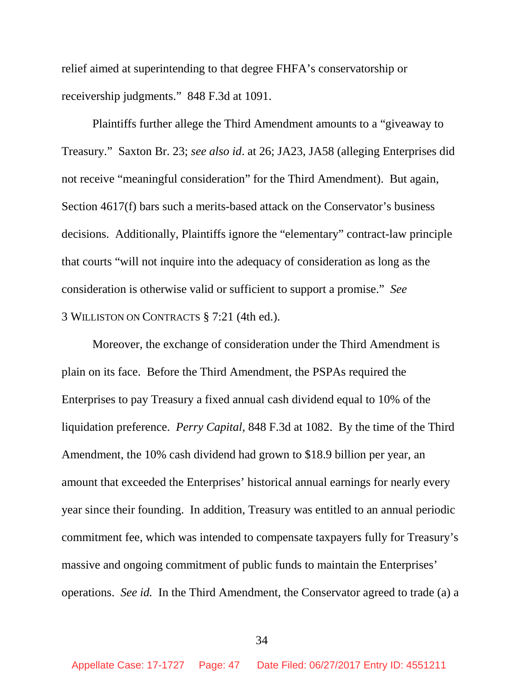relief aimed at superintending to that degree FHFA's conservatorship or receivership judgments." 848 F.3d at 1091.

Plaintiffs further allege the Third Amendment amounts to a "giveaway to Treasury." Saxton Br. 23; *see also id*. at 26; JA23, JA58 (alleging Enterprises did not receive "meaningful consideration" for the Third Amendment). But again, Section 4617(f) bars such a merits-based attack on the Conservator's business decisions. Additionally, Plaintiffs ignore the "elementary" contract-law principle that courts "will not inquire into the adequacy of consideration as long as the consideration is otherwise valid or sufficient to support a promise." *See* 3 WILLISTON ON CONTRACTS § 7:21 (4th ed.).

Moreover, the exchange of consideration under the Third Amendment is plain on its face. Before the Third Amendment, the PSPAs required the Enterprises to pay Treasury a fixed annual cash dividend equal to 10% of the liquidation preference. *Perry Capital*, 848 F.3d at 1082. By the time of the Third Amendment, the 10% cash dividend had grown to \$18.9 billion per year, an amount that exceeded the Enterprises' historical annual earnings for nearly every year since their founding. In addition, Treasury was entitled to an annual periodic commitment fee, which was intended to compensate taxpayers fully for Treasury's massive and ongoing commitment of public funds to maintain the Enterprises' operations. *See id.* In the Third Amendment, the Conservator agreed to trade (a) a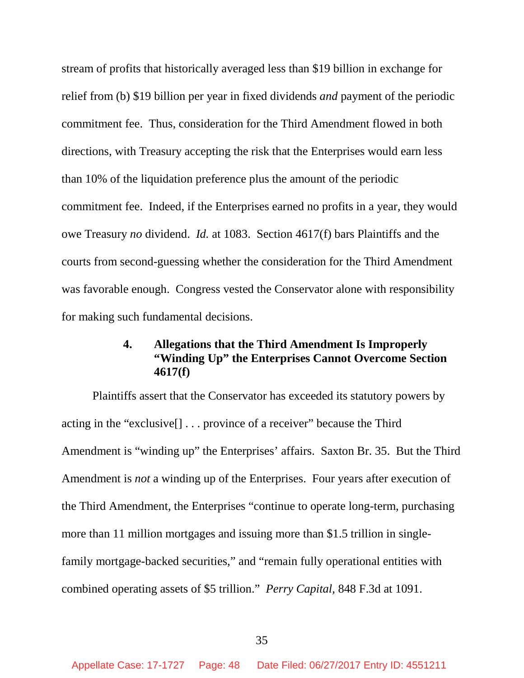stream of profits that historically averaged less than \$19 billion in exchange for relief from (b) \$19 billion per year in fixed dividends *and* payment of the periodic commitment fee. Thus, consideration for the Third Amendment flowed in both directions, with Treasury accepting the risk that the Enterprises would earn less than 10% of the liquidation preference plus the amount of the periodic commitment fee. Indeed, if the Enterprises earned no profits in a year, they would owe Treasury *no* dividend. *Id.* at 1083. Section 4617(f) bars Plaintiffs and the courts from second-guessing whether the consideration for the Third Amendment was favorable enough. Congress vested the Conservator alone with responsibility for making such fundamental decisions.

# **4. Allegations that the Third Amendment Is Improperly "Winding Up" the Enterprises Cannot Overcome Section 4617(f)**

Plaintiffs assert that the Conservator has exceeded its statutory powers by acting in the "exclusive[] . . . province of a receiver" because the Third Amendment is "winding up" the Enterprises' affairs. Saxton Br. 35. But the Third Amendment is *not* a winding up of the Enterprises. Four years after execution of the Third Amendment, the Enterprises "continue to operate long-term, purchasing more than 11 million mortgages and issuing more than \$1.5 trillion in singlefamily mortgage-backed securities," and "remain fully operational entities with combined operating assets of \$5 trillion." *Perry Capital,* 848 F.3d at 1091.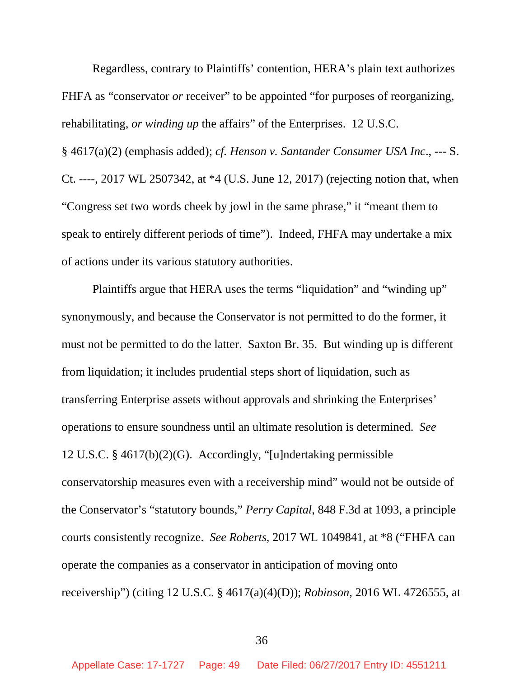Regardless, contrary to Plaintiffs' contention, HERA's plain text authorizes FHFA as "conservator *or* receiver" to be appointed "for purposes of reorganizing, rehabilitating, *or winding up* the affairs" of the Enterprises. 12 U.S.C. § 4617(a)(2) (emphasis added); *cf. Henson v. Santander Consumer USA Inc*., --- S. Ct. ----, 2017 WL 2507342, at \*4 (U.S. June 12, 2017) (rejecting notion that, when "Congress set two words cheek by jowl in the same phrase," it "meant them to speak to entirely different periods of time"). Indeed, FHFA may undertake a mix of actions under its various statutory authorities.

Plaintiffs argue that HERA uses the terms "liquidation" and "winding up" synonymously, and because the Conservator is not permitted to do the former, it must not be permitted to do the latter. Saxton Br. 35. But winding up is different from liquidation; it includes prudential steps short of liquidation, such as transferring Enterprise assets without approvals and shrinking the Enterprises' operations to ensure soundness until an ultimate resolution is determined. *See* 12 U.S.C. § 4617(b)(2)(G). Accordingly, "[u]ndertaking permissible conservatorship measures even with a receivership mind" would not be outside of the Conservator's "statutory bounds," *Perry Capital*, 848 F.3d at 1093, a principle courts consistently recognize. *See Roberts*, 2017 WL 1049841, at \*8 ("FHFA can operate the companies as a conservator in anticipation of moving onto receivership") (citing 12 U.S.C. § 4617(a)(4)(D)); *Robinson*, 2016 WL 4726555, at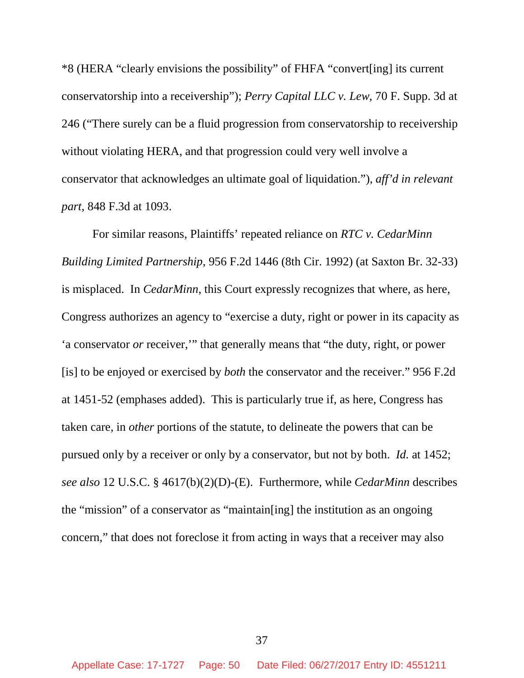\*8 (HERA "clearly envisions the possibility" of FHFA "convert[ing] its current conservatorship into a receivership"); *Perry Capital LLC v. Lew*, 70 F. Supp. 3d at 246 ("There surely can be a fluid progression from conservatorship to receivership without violating HERA, and that progression could very well involve a conservator that acknowledges an ultimate goal of liquidation."), *aff'd in relevant part*, 848 F.3d at 1093.

For similar reasons, Plaintiffs' repeated reliance on *RTC v. CedarMinn Building Limited Partnership*, 956 F.2d 1446 (8th Cir. 1992) (at Saxton Br. 32-33) is misplaced. In *CedarMinn*, this Court expressly recognizes that where, as here, Congress authorizes an agency to "exercise a duty, right or power in its capacity as 'a conservator *or* receiver,'" that generally means that "the duty, right, or power [is] to be enjoyed or exercised by *both* the conservator and the receiver." 956 F.2d at 1451-52 (emphases added). This is particularly true if, as here, Congress has taken care, in *other* portions of the statute, to delineate the powers that can be pursued only by a receiver or only by a conservator, but not by both. *Id.* at 1452; *see also* 12 U.S.C. § 4617(b)(2)(D)-(E). Furthermore, while *CedarMinn* describes the "mission" of a conservator as "maintain[ing] the institution as an ongoing concern," that does not foreclose it from acting in ways that a receiver may also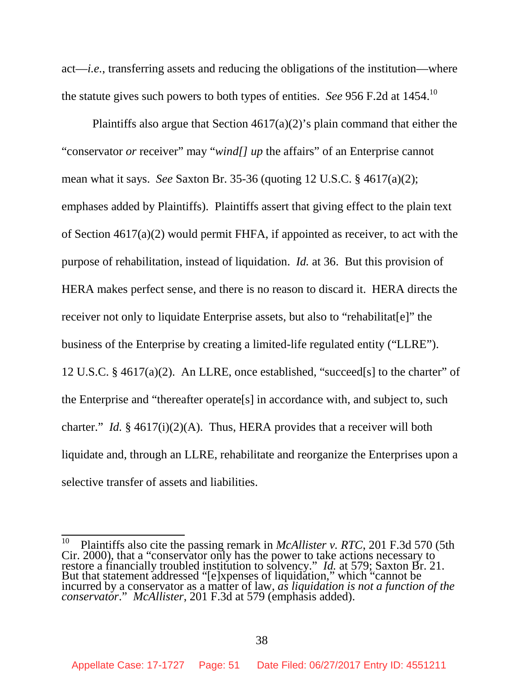act—*i.e.*, transferring assets and reducing the obligations of the institution—where the statute gives such powers to both types of entities. *See* 956 F.2d at 1454.<sup>10</sup>

Plaintiffs also argue that Section  $4617(a)(2)$ 's plain command that either the "conservator *or* receiver" may "*wind[] up* the affairs" of an Enterprise cannot mean what it says. *See* Saxton Br. 35-36 (quoting 12 U.S.C. § 4617(a)(2); emphases added by Plaintiffs). Plaintiffs assert that giving effect to the plain text of Section 4617(a)(2) would permit FHFA, if appointed as receiver, to act with the purpose of rehabilitation, instead of liquidation. *Id.* at 36. But this provision of HERA makes perfect sense, and there is no reason to discard it. HERA directs the receiver not only to liquidate Enterprise assets, but also to "rehabilitat[e]" the business of the Enterprise by creating a limited-life regulated entity ("LLRE"). 12 U.S.C. § 4617(a)(2). An LLRE, once established, "succeed[s] to the charter" of the Enterprise and "thereafter operate[s] in accordance with, and subject to, such charter." *Id.* § 4617(i)(2)(A). Thus, HERA provides that a receiver will both liquidate and, through an LLRE, rehabilitate and reorganize the Enterprises upon a selective transfer of assets and liabilities.

<sup>10</sup> Plaintiffs also cite the passing remark in *McAllister v. RTC*, 201 F.3d 570 (5th Cir. 2000), that a "conservator only has the power to take actions necessary to restore a financially troubled institution to solvency." *Id.* at 579; Saxton Br. 21. But that statement addressed "[e]xpenses of liquidation," which "cannot be incurred by a conservator as a matter of law, *as liquidation is not a function of the conservator*." *McAllister*, 201 F.3d at 579 (emphasis added).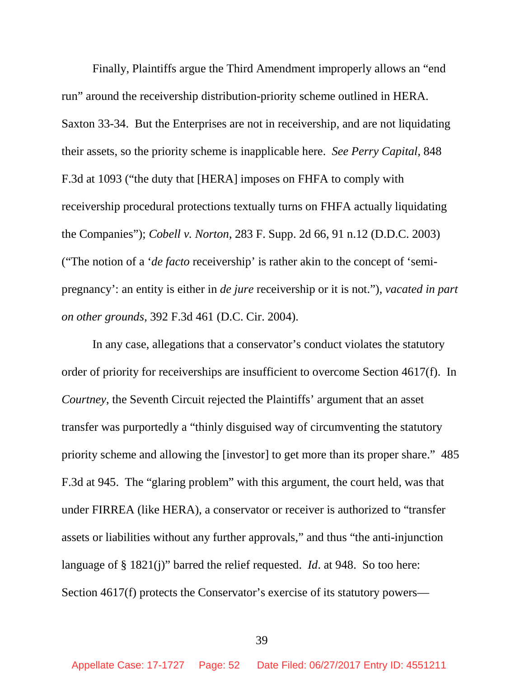Finally, Plaintiffs argue the Third Amendment improperly allows an "end run" around the receivership distribution-priority scheme outlined in HERA. Saxton 33-34. But the Enterprises are not in receivership, and are not liquidating their assets, so the priority scheme is inapplicable here. *See Perry Capital*, 848 F.3d at 1093 ("the duty that [HERA] imposes on FHFA to comply with receivership procedural protections textually turns on FHFA actually liquidating the Companies"); *Cobell v. Norton*, 283 F. Supp. 2d 66, 91 n.12 (D.D.C. 2003) ("The notion of a '*de facto* receivership' is rather akin to the concept of 'semipregnancy': an entity is either in *de jure* receivership or it is not."), *vacated in part on other grounds*, 392 F.3d 461 (D.C. Cir. 2004).

In any case, allegations that a conservator's conduct violates the statutory order of priority for receiverships are insufficient to overcome Section 4617(f). In *Courtney*, the Seventh Circuit rejected the Plaintiffs' argument that an asset transfer was purportedly a "thinly disguised way of circumventing the statutory priority scheme and allowing the [investor] to get more than its proper share." 485 F.3d at 945. The "glaring problem" with this argument, the court held, was that under FIRREA (like HERA), a conservator or receiver is authorized to "transfer assets or liabilities without any further approvals," and thus "the anti-injunction language of § 1821(j)" barred the relief requested. *Id*. at 948. So too here: Section 4617(f) protects the Conservator's exercise of its statutory powers—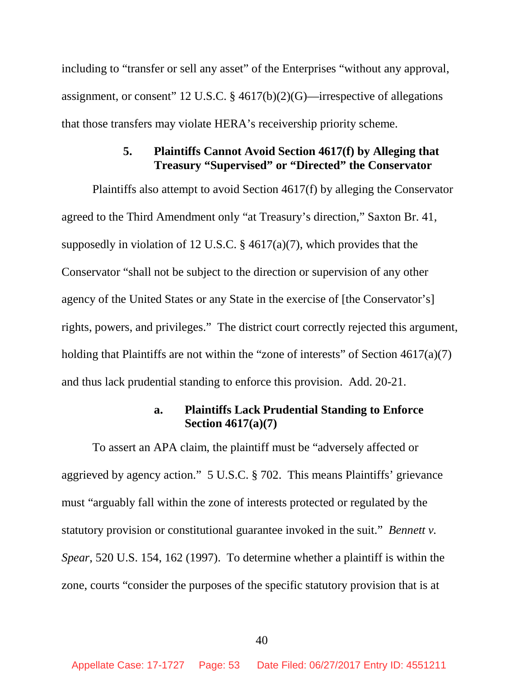including to "transfer or sell any asset" of the Enterprises "without any approval, assignment, or consent" 12 U.S.C. § 4617(b)(2)(G)—irrespective of allegations that those transfers may violate HERA's receivership priority scheme.

# **5. Plaintiffs Cannot Avoid Section 4617(f) by Alleging that Treasury "Supervised" or "Directed" the Conservator**

Plaintiffs also attempt to avoid Section 4617(f) by alleging the Conservator agreed to the Third Amendment only "at Treasury's direction," Saxton Br. 41, supposedly in violation of 12 U.S.C. § 4617(a)(7), which provides that the Conservator "shall not be subject to the direction or supervision of any other agency of the United States or any State in the exercise of [the Conservator's] rights, powers, and privileges." The district court correctly rejected this argument, holding that Plaintiffs are not within the "zone of interests" of Section  $4617(a)(7)$ and thus lack prudential standing to enforce this provision. Add. 20-21.

## **a. Plaintiffs Lack Prudential Standing to Enforce Section 4617(a)(7)**

To assert an APA claim, the plaintiff must be "adversely affected or aggrieved by agency action." 5 U.S.C. § 702. This means Plaintiffs' grievance must "arguably fall within the zone of interests protected or regulated by the statutory provision or constitutional guarantee invoked in the suit." *Bennett v. Spear*, 520 U.S. 154, 162 (1997). To determine whether a plaintiff is within the zone, courts "consider the purposes of the specific statutory provision that is at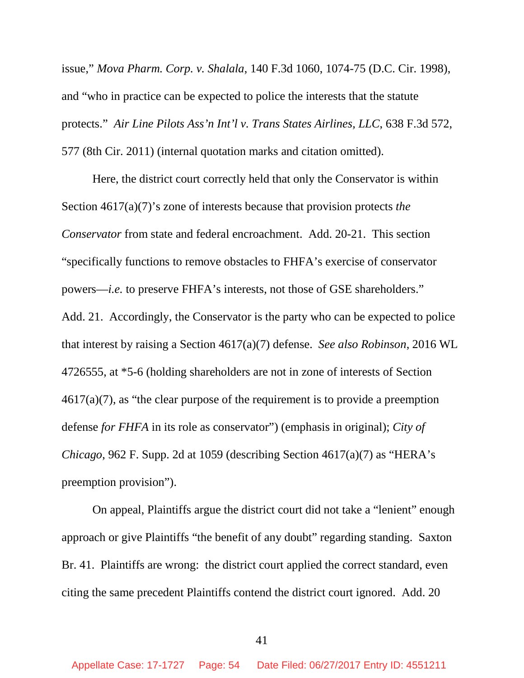issue," *Mova Pharm. Corp. v. Shalala*, 140 F.3d 1060, 1074-75 (D.C. Cir. 1998), and "who in practice can be expected to police the interests that the statute protects." *Air Line Pilots Ass'n Int'l v. Trans States Airlines, LLC*, 638 F.3d 572, 577 (8th Cir. 2011) (internal quotation marks and citation omitted).

Here, the district court correctly held that only the Conservator is within Section 4617(a)(7)'s zone of interests because that provision protects *the Conservator* from state and federal encroachment. Add. 20-21. This section "specifically functions to remove obstacles to FHFA's exercise of conservator powers—*i.e.* to preserve FHFA's interests, not those of GSE shareholders." Add. 21. Accordingly, the Conservator is the party who can be expected to police that interest by raising a Section 4617(a)(7) defense. *See also Robinson*, 2016 WL 4726555, at \*5-6 (holding shareholders are not in zone of interests of Section 4617(a)(7), as "the clear purpose of the requirement is to provide a preemption defense *for FHFA* in its role as conservator") (emphasis in original); *City of Chicago*, 962 F. Supp. 2d at 1059 (describing Section 4617(a)(7) as "HERA's preemption provision").

On appeal, Plaintiffs argue the district court did not take a "lenient" enough approach or give Plaintiffs "the benefit of any doubt" regarding standing. Saxton Br. 41. Plaintiffs are wrong: the district court applied the correct standard, even citing the same precedent Plaintiffs contend the district court ignored. Add. 20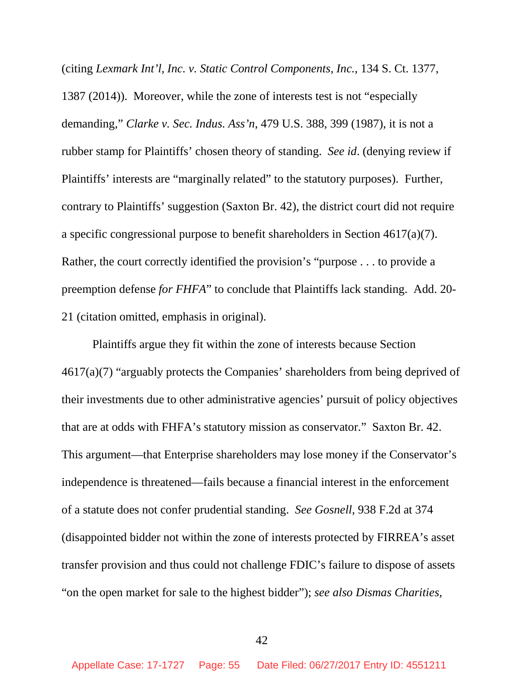(citing *Lexmark Int'l, Inc. v. Static Control Components, Inc.*, 134 S. Ct. 1377, 1387 (2014)). Moreover, while the zone of interests test is not "especially demanding," *Clarke v. Sec. Indus. Ass'n*, 479 U.S. 388, 399 (1987), it is not a rubber stamp for Plaintiffs' chosen theory of standing. *See id*. (denying review if Plaintiffs' interests are "marginally related" to the statutory purposes). Further, contrary to Plaintiffs' suggestion (Saxton Br. 42), the district court did not require a specific congressional purpose to benefit shareholders in Section 4617(a)(7). Rather, the court correctly identified the provision's "purpose . . . to provide a preemption defense *for FHFA*" to conclude that Plaintiffs lack standing. Add. 20- 21 (citation omitted, emphasis in original).

Plaintiffs argue they fit within the zone of interests because Section 4617(a)(7) "arguably protects the Companies' shareholders from being deprived of their investments due to other administrative agencies' pursuit of policy objectives that are at odds with FHFA's statutory mission as conservator." Saxton Br. 42. This argument—that Enterprise shareholders may lose money if the Conservator's independence is threatened—fails because a financial interest in the enforcement of a statute does not confer prudential standing. *See Gosnell*, 938 F.2d at 374 (disappointed bidder not within the zone of interests protected by FIRREA's asset transfer provision and thus could not challenge FDIC's failure to dispose of assets "on the open market for sale to the highest bidder"); *see also Dismas Charities,*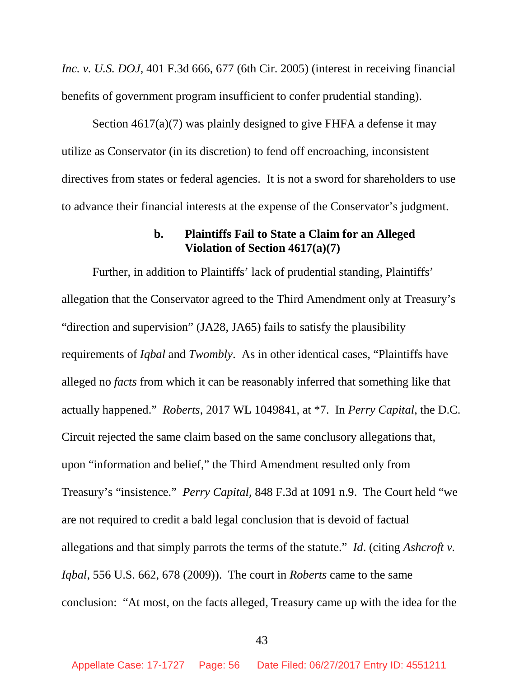*Inc. v. U.S. DOJ*, 401 F.3d 666, 677 (6th Cir. 2005) (interest in receiving financial benefits of government program insufficient to confer prudential standing).

Section 4617(a)(7) was plainly designed to give FHFA a defense it may utilize as Conservator (in its discretion) to fend off encroaching, inconsistent directives from states or federal agencies. It is not a sword for shareholders to use to advance their financial interests at the expense of the Conservator's judgment.

### **b. Plaintiffs Fail to State a Claim for an Alleged Violation of Section 4617(a)(7)**

Further, in addition to Plaintiffs' lack of prudential standing, Plaintiffs' allegation that the Conservator agreed to the Third Amendment only at Treasury's "direction and supervision" (JA28, JA65) fails to satisfy the plausibility requirements of *Iqbal* and *Twombly*. As in other identical cases, "Plaintiffs have alleged no *facts* from which it can be reasonably inferred that something like that actually happened." *Roberts*, 2017 WL 1049841, at \*7. In *Perry Capital*, the D.C. Circuit rejected the same claim based on the same conclusory allegations that, upon "information and belief," the Third Amendment resulted only from Treasury's "insistence." *Perry Capital*, 848 F.3d at 1091 n.9. The Court held "we are not required to credit a bald legal conclusion that is devoid of factual allegations and that simply parrots the terms of the statute." *Id*. (citing *Ashcroft v. Iqbal*, 556 U.S. 662, 678 (2009)). The court in *Roberts* came to the same conclusion: "At most, on the facts alleged, Treasury came up with the idea for the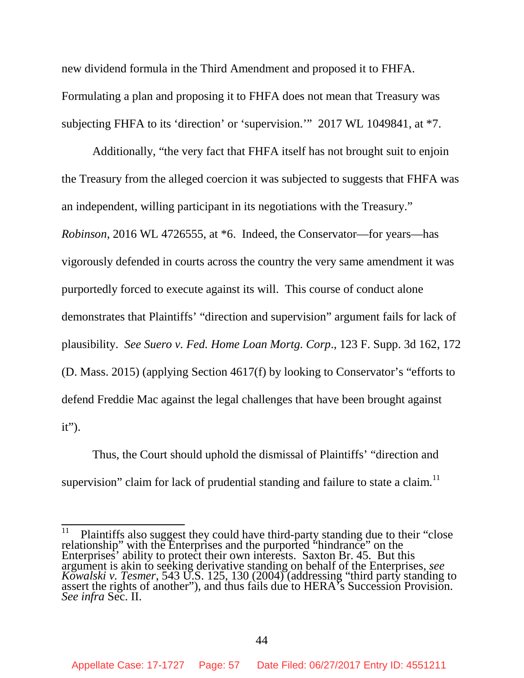new dividend formula in the Third Amendment and proposed it to FHFA. Formulating a plan and proposing it to FHFA does not mean that Treasury was subjecting FHFA to its 'direction' or 'supervision.'" 2017 WL 1049841, at \*7.

Additionally, "the very fact that FHFA itself has not brought suit to enjoin the Treasury from the alleged coercion it was subjected to suggests that FHFA was an independent, willing participant in its negotiations with the Treasury." *Robinson*, 2016 WL 4726555, at \*6. Indeed, the Conservator—for years—has vigorously defended in courts across the country the very same amendment it was purportedly forced to execute against its will. This course of conduct alone demonstrates that Plaintiffs' "direction and supervision" argument fails for lack of plausibility. *See Suero v. Fed. Home Loan Mortg. Corp*., 123 F. Supp. 3d 162, 172 (D. Mass. 2015) (applying Section 4617(f) by looking to Conservator's "efforts to defend Freddie Mac against the legal challenges that have been brought against  $it$ ").

Thus, the Court should uphold the dismissal of Plaintiffs' "direction and supervision" claim for lack of prudential standing and failure to state a claim.<sup>11</sup>

 $11$  Plaintiffs also suggest they could have third-party standing due to their "close" relationship" with the Enterprises and the purported "hindrance" on the Enterprises' ability to protect their own interests. Saxton Br. 45. But this argument is akin to seeking derivative standing on behalf of the Enterprises, *see Kowalski v. Tesmer*, 543 U.S. 125, 130 (2004) (addressing "third party standing to assert the rights of another"), and thus fails due to HERA's Succession Provision. *See infra* Sec. II.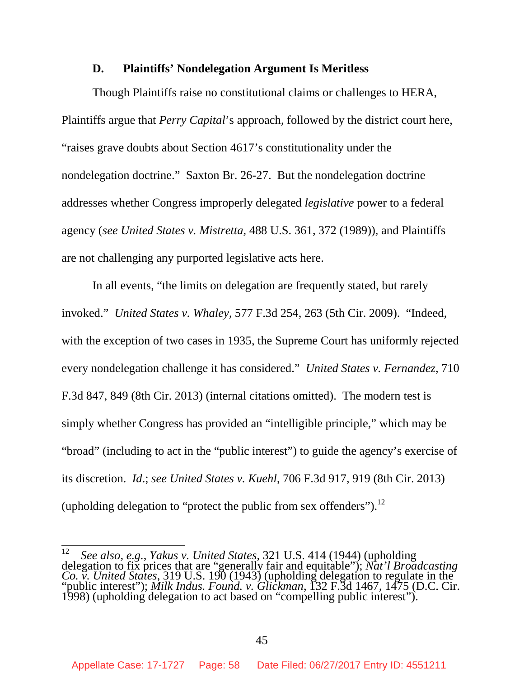#### **D. Plaintiffs' Nondelegation Argument Is Meritless**

Though Plaintiffs raise no constitutional claims or challenges to HERA, Plaintiffs argue that *Perry Capital*'s approach, followed by the district court here, "raises grave doubts about Section 4617's constitutionality under the nondelegation doctrine." Saxton Br. 26-27. But the nondelegation doctrine addresses whether Congress improperly delegated *legislative* power to a federal agency (*see United States v. Mistretta,* 488 U.S. 361, 372 (1989)), and Plaintiffs are not challenging any purported legislative acts here.

In all events, "the limits on delegation are frequently stated, but rarely invoked." *United States v. Whaley*, 577 F.3d 254, 263 (5th Cir. 2009). "Indeed, with the exception of two cases in 1935, the Supreme Court has uniformly rejected every nondelegation challenge it has considered." *United States v. Fernandez*, 710 F.3d 847, 849 (8th Cir. 2013) (internal citations omitted). The modern test is simply whether Congress has provided an "intelligible principle," which may be "broad" (including to act in the "public interest") to guide the agency's exercise of its discretion. *Id*.; *see United States v. Kuehl*, 706 F.3d 917, 919 (8th Cir. 2013) (upholding delegation to "protect the public from sex offenders").<sup>12</sup>

<sup>12</sup> *See also, e.g.*, *Yakus v. United States,* 321 U.S. 414 (1944) (upholding delegation to fix prices that are "generally fair and equitable"); *Nat'l Broadcasting Co. v. United States*, 319 U.S. 190 (1943) (upholding delegation to regulate in the "public interest"); *Milk Indus. Found. v. Glickman*, 132 F.3d 1467, 1475 (D.C. Cir. 1998) (upholding delegation to act based on "compelling public interest").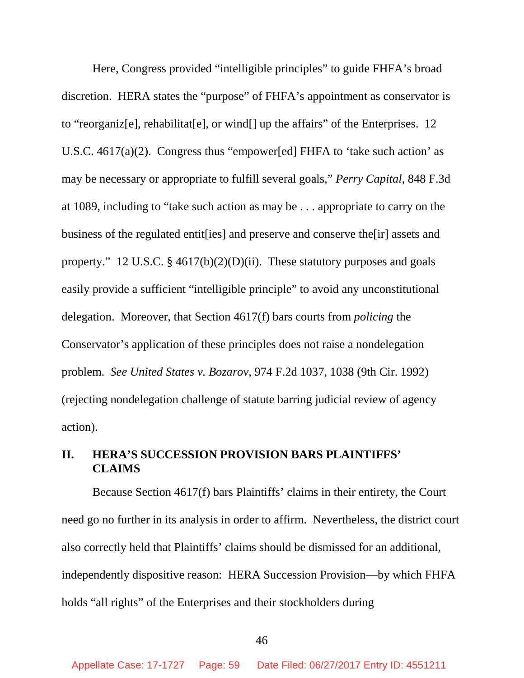Here, Congress provided "intelligible principles" to guide FHFA's broad discretion. HERA states the "purpose" of FHFA's appointment as conservator is to "reorganiz[e], rehabilitat[e], or wind[] up the affairs" of the Enterprises. 12 U.S.C. 4617(a)(2). Congress thus "empower[ed] FHFA to 'take such action' as may be necessary or appropriate to fulfill several goals," *Perry Capital*, 848 F.3d at 1089, including to "take such action as may be . . . appropriate to carry on the business of the regulated entit[ies] and preserve and conserve the[ir] assets and property." 12 U.S.C. § 4617(b)(2)(D)(ii). These statutory purposes and goals easily provide a sufficient "intelligible principle" to avoid any unconstitutional delegation. Moreover, that Section 4617(f) bars courts from *policing* the Conservator's application of these principles does not raise a nondelegation problem. *See United States v. Bozarov*, 974 F.2d 1037, 1038 (9th Cir. 1992) (rejecting nondelegation challenge of statute barring judicial review of agency action).

# **II. HERA'S SUCCESSION PROVISION BARS PLAINTIFFS' CLAIMS**

Because Section 4617(f) bars Plaintiffs' claims in their entirety, the Court need go no further in its analysis in order to affirm. Nevertheless, the district court also correctly held that Plaintiffs' claims should be dismissed for an additional, independently dispositive reason: HERA Succession Provision—by which FHFA holds "all rights" of the Enterprises and their stockholders during

46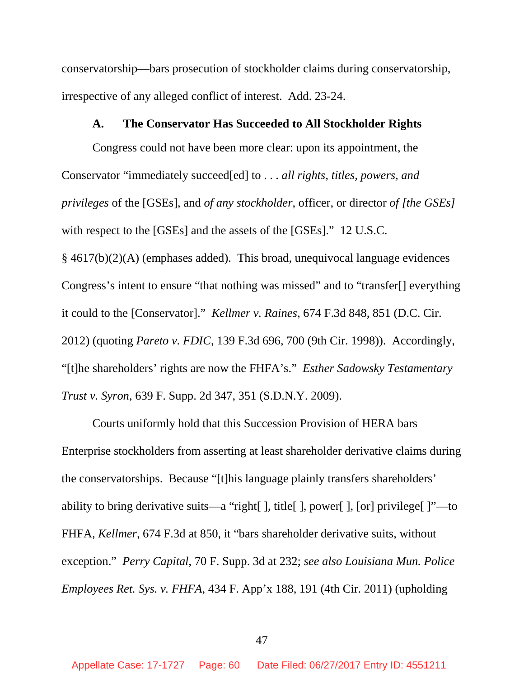conservatorship—bars prosecution of stockholder claims during conservatorship, irrespective of any alleged conflict of interest. Add. 23-24.

#### **A. The Conservator Has Succeeded to All Stockholder Rights**

Congress could not have been more clear: upon its appointment, the Conservator "immediately succeed[ed] to . . . *all rights, titles, powers, and privileges* of the [GSEs], and *of any stockholder*, officer, or director *of [the GSEs]* with respect to the [GSEs] and the assets of the [GSEs]." 12 U.S.C. § 4617(b)(2)(A) (emphases added). This broad, unequivocal language evidences Congress's intent to ensure "that nothing was missed" and to "transfer[] everything it could to the [Conservator]." *Kellmer v. Raines*, 674 F.3d 848, 851 (D.C. Cir. 2012) (quoting *Pareto v. FDIC*, 139 F.3d 696, 700 (9th Cir. 1998)). Accordingly, "[t]he shareholders' rights are now the FHFA's." *Esther Sadowsky Testamentary Trust v. Syron*, 639 F. Supp. 2d 347, 351 (S.D.N.Y. 2009).

Courts uniformly hold that this Succession Provision of HERA bars Enterprise stockholders from asserting at least shareholder derivative claims during the conservatorships. Because "[t]his language plainly transfers shareholders' ability to bring derivative suits—a "right[ ], title[ ], power[ ], [or] privilege[ ]"—to FHFA, *Kellmer*, 674 F.3d at 850, it "bars shareholder derivative suits, without exception." *Perry Capital*, 70 F. Supp. 3d at 232; *see also Louisiana Mun. Police Employees Ret. Sys. v. FHFA*, 434 F. App'x 188, 191 (4th Cir. 2011) (upholding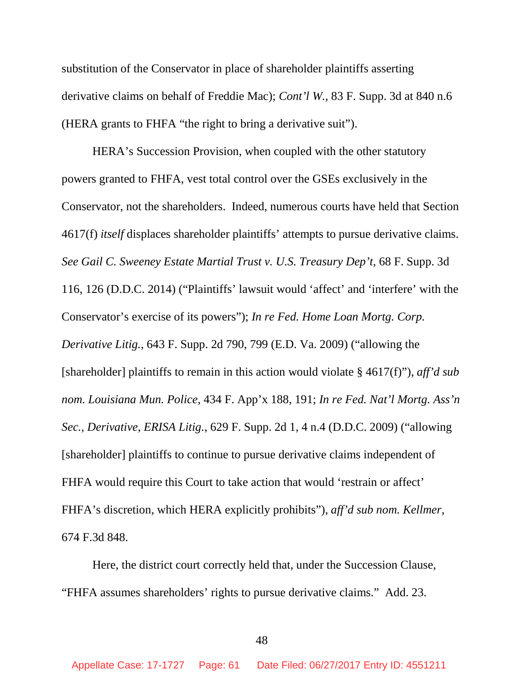substitution of the Conservator in place of shareholder plaintiffs asserting derivative claims on behalf of Freddie Mac); *Cont'l W.*, 83 F. Supp. 3d at 840 n.6 (HERA grants to FHFA "the right to bring a derivative suit").

HERA's Succession Provision, when coupled with the other statutory powers granted to FHFA, vest total control over the GSEs exclusively in the Conservator, not the shareholders. Indeed, numerous courts have held that Section 4617(f) *itself* displaces shareholder plaintiffs' attempts to pursue derivative claims. *See Gail C. Sweeney Estate Martial Trust v. U.S. Treasury Dep't*, 68 F. Supp. 3d 116, 126 (D.D.C. 2014) ("Plaintiffs' lawsuit would 'affect' and 'interfere' with the Conservator's exercise of its powers"); *In re Fed. Home Loan Mortg. Corp. Derivative Litig.*, 643 F. Supp. 2d 790, 799 (E.D. Va. 2009) ("allowing the [shareholder] plaintiffs to remain in this action would violate § 4617(f)"), *aff'd sub nom. Louisiana Mun. Police,* 434 F. App'x 188, 191; *In re Fed. Nat'l Mortg. Ass'n Sec., Derivative, ERISA Litig.*, 629 F. Supp. 2d 1, 4 n.4 (D.D.C. 2009) ("allowing [shareholder] plaintiffs to continue to pursue derivative claims independent of FHFA would require this Court to take action that would 'restrain or affect' FHFA's discretion, which HERA explicitly prohibits"), *aff'd sub nom. Kellmer*, 674 F.3d 848.

Here, the district court correctly held that, under the Succession Clause, "FHFA assumes shareholders' rights to pursue derivative claims." Add. 23.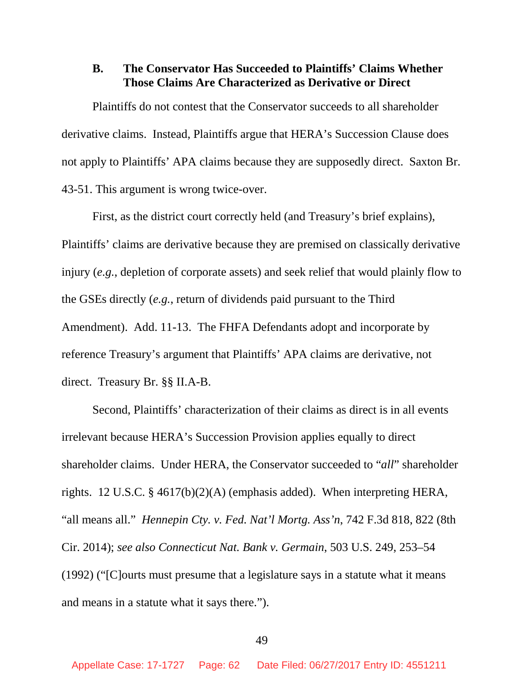### **B. The Conservator Has Succeeded to Plaintiffs' Claims Whether Those Claims Are Characterized as Derivative or Direct**

Plaintiffs do not contest that the Conservator succeeds to all shareholder derivative claims. Instead, Plaintiffs argue that HERA's Succession Clause does not apply to Plaintiffs' APA claims because they are supposedly direct. Saxton Br. 43-51. This argument is wrong twice-over.

First, as the district court correctly held (and Treasury's brief explains), Plaintiffs' claims are derivative because they are premised on classically derivative injury (*e.g.*, depletion of corporate assets) and seek relief that would plainly flow to the GSEs directly (*e.g.*, return of dividends paid pursuant to the Third Amendment). Add. 11-13. The FHFA Defendants adopt and incorporate by reference Treasury's argument that Plaintiffs' APA claims are derivative, not direct. Treasury Br. §§ II.A-B.

Second, Plaintiffs' characterization of their claims as direct is in all events irrelevant because HERA's Succession Provision applies equally to direct shareholder claims. Under HERA, the Conservator succeeded to "*all*" shareholder rights. 12 U.S.C. § 4617(b)(2)(A) (emphasis added). When interpreting HERA, "all means all." *Hennepin Cty. v. Fed. Nat'l Mortg. Ass'n*, 742 F.3d 818, 822 (8th Cir. 2014); *see also Connecticut Nat. Bank v. Germain*, 503 U.S. 249, 253–54 (1992) ("[C]ourts must presume that a legislature says in a statute what it means and means in a statute what it says there.").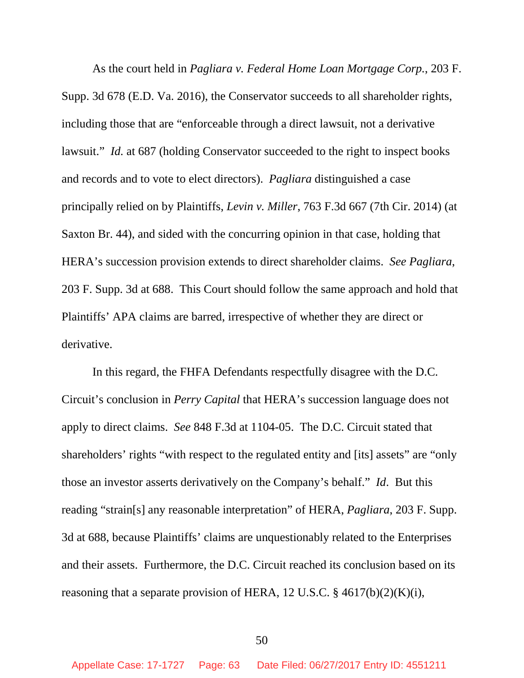As the court held in *Pagliara v. Federal Home Loan Mortgage Corp.*, 203 F. Supp. 3d 678 (E.D. Va. 2016), the Conservator succeeds to all shareholder rights, including those that are "enforceable through a direct lawsuit, not a derivative lawsuit." *Id.* at 687 (holding Conservator succeeded to the right to inspect books and records and to vote to elect directors). *Pagliara* distinguished a case principally relied on by Plaintiffs, *Levin v. Miller*, 763 F.3d 667 (7th Cir. 2014) (at Saxton Br. 44), and sided with the concurring opinion in that case, holding that HERA's succession provision extends to direct shareholder claims. *See Pagliara*, 203 F. Supp. 3d at 688. This Court should follow the same approach and hold that Plaintiffs' APA claims are barred, irrespective of whether they are direct or derivative.

In this regard, the FHFA Defendants respectfully disagree with the D.C. Circuit's conclusion in *Perry Capital* that HERA's succession language does not apply to direct claims. *See* 848 F.3d at 1104-05. The D.C. Circuit stated that shareholders' rights "with respect to the regulated entity and [its] assets" are "only those an investor asserts derivatively on the Company's behalf." *Id*. But this reading "strain[s] any reasonable interpretation" of HERA, *Pagliara*, 203 F. Supp. 3d at 688, because Plaintiffs' claims are unquestionably related to the Enterprises and their assets. Furthermore, the D.C. Circuit reached its conclusion based on its reasoning that a separate provision of HERA, 12 U.S.C.  $\S$  4617(b)(2)(K)(i),

50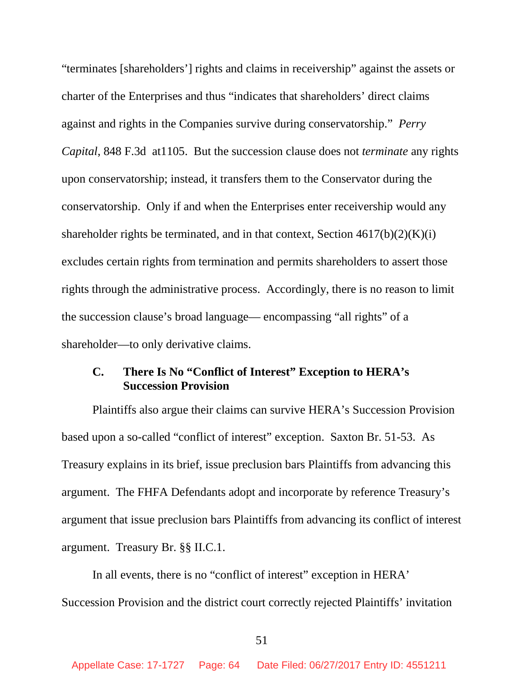"terminates [shareholders'] rights and claims in receivership" against the assets or charter of the Enterprises and thus "indicates that shareholders' direct claims against and rights in the Companies survive during conservatorship." *Perry Capital*, 848 F.3d at1105. But the succession clause does not *terminate* any rights upon conservatorship; instead, it transfers them to the Conservator during the conservatorship. Only if and when the Enterprises enter receivership would any shareholder rights be terminated, and in that context, Section  $4617(b)(2)(K)(i)$ excludes certain rights from termination and permits shareholders to assert those rights through the administrative process. Accordingly, there is no reason to limit the succession clause's broad language— encompassing "all rights" of a shareholder—to only derivative claims.

## **C. There Is No "Conflict of Interest" Exception to HERA's Succession Provision**

Plaintiffs also argue their claims can survive HERA's Succession Provision based upon a so-called "conflict of interest" exception. Saxton Br. 51-53. As Treasury explains in its brief, issue preclusion bars Plaintiffs from advancing this argument. The FHFA Defendants adopt and incorporate by reference Treasury's argument that issue preclusion bars Plaintiffs from advancing its conflict of interest argument. Treasury Br. §§ II.C.1.

In all events, there is no "conflict of interest" exception in HERA' Succession Provision and the district court correctly rejected Plaintiffs' invitation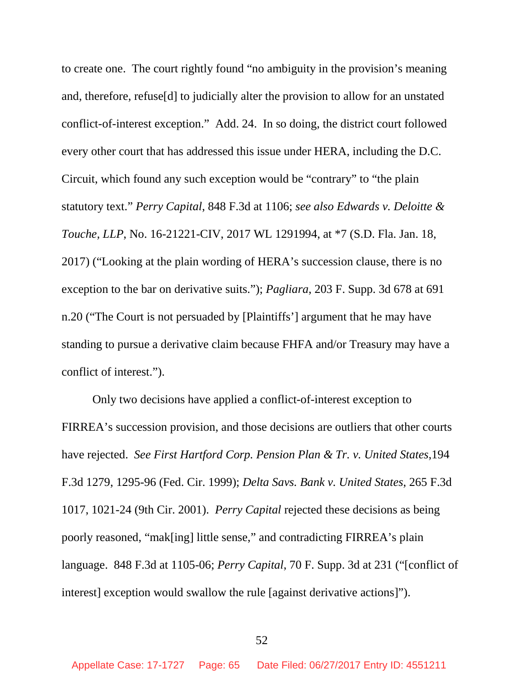to create one. The court rightly found "no ambiguity in the provision's meaning and, therefore, refuse[d] to judicially alter the provision to allow for an unstated conflict-of-interest exception." Add. 24. In so doing, the district court followed every other court that has addressed this issue under HERA, including the D.C. Circuit, which found any such exception would be "contrary" to "the plain statutory text." *Perry Capital*, 848 F.3d at 1106; *see also Edwards v. Deloitte & Touche, LLP*, No. 16-21221-CIV, 2017 WL 1291994, at \*7 (S.D. Fla. Jan. 18, 2017) ("Looking at the plain wording of HERA's succession clause, there is no exception to the bar on derivative suits."); *Pagliara*, 203 F. Supp. 3d 678 at 691 n.20 ("The Court is not persuaded by [Plaintiffs'] argument that he may have standing to pursue a derivative claim because FHFA and/or Treasury may have a conflict of interest.").

Only two decisions have applied a conflict-of-interest exception to FIRREA's succession provision, and those decisions are outliers that other courts have rejected. *See First Hartford Corp. Pension Plan & Tr. v. United States*,194 F.3d 1279, 1295-96 (Fed. Cir. 1999); *Delta Savs. Bank v. United States*, 265 F.3d 1017, 1021-24 (9th Cir. 2001). *Perry Capital* rejected these decisions as being poorly reasoned, "mak[ing] little sense," and contradicting FIRREA's plain language. 848 F.3d at 1105-06; *Perry Capital*, 70 F. Supp. 3d at 231 ("[conflict of interest] exception would swallow the rule [against derivative actions]").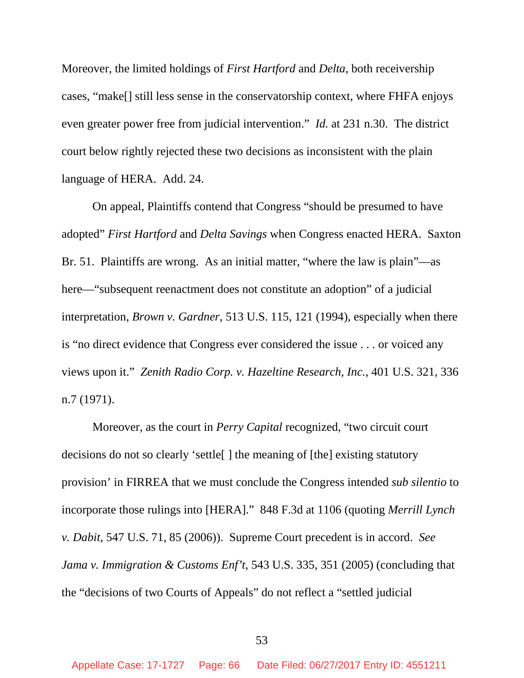Moreover, the limited holdings of *First Hartford* and *Delta*, both receivership cases, "make[] still less sense in the conservatorship context, where FHFA enjoys even greater power free from judicial intervention." *Id.* at 231 n.30. The district court below rightly rejected these two decisions as inconsistent with the plain language of HERA. Add. 24.

On appeal, Plaintiffs contend that Congress "should be presumed to have adopted" *First Hartford* and *Delta Savings* when Congress enacted HERA. Saxton Br. 51. Plaintiffs are wrong. As an initial matter, "where the law is plain"—as here—"subsequent reenactment does not constitute an adoption" of a judicial interpretation, *Brown v. Gardner*, 513 U.S. 115, 121 (1994), especially when there is "no direct evidence that Congress ever considered the issue . . . or voiced any views upon it." *Zenith Radio Corp. v. Hazeltine Research, Inc.*, 401 U.S. 321, 336 n.7 (1971).

Moreover, as the court in *Perry Capital* recognized, "two circuit court decisions do not so clearly 'settle[ ] the meaning of [the] existing statutory provision' in FIRREA that we must conclude the Congress intended *sub silentio* to incorporate those rulings into [HERA]." 848 F.3d at 1106 (quoting *Merrill Lynch v. Dabit*, 547 U.S. 71, 85 (2006)). Supreme Court precedent is in accord. *See Jama v. Immigration & Customs Enf't*, 543 U.S. 335, 351 (2005) (concluding that the "decisions of two Courts of Appeals" do not reflect a "settled judicial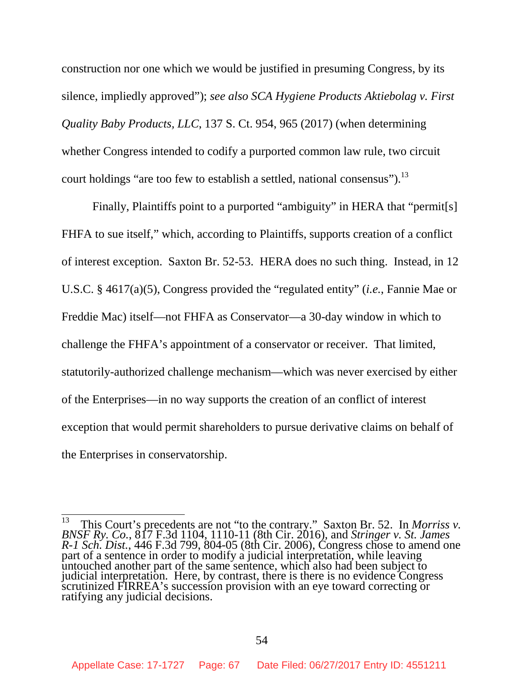construction nor one which we would be justified in presuming Congress, by its silence, impliedly approved"); *see also SCA Hygiene Products Aktiebolag v. First Quality Baby Products, LLC*, 137 S. Ct. 954, 965 (2017) (when determining whether Congress intended to codify a purported common law rule, two circuit court holdings "are too few to establish a settled, national consensus").<sup>13</sup>

Finally, Plaintiffs point to a purported "ambiguity" in HERA that "permit<sup>[s]</sup> FHFA to sue itself," which, according to Plaintiffs, supports creation of a conflict of interest exception. Saxton Br. 52-53. HERA does no such thing. Instead, in 12 U.S.C. § 4617(a)(5), Congress provided the "regulated entity" (*i.e.*, Fannie Mae or Freddie Mac) itself—not FHFA as Conservator—a 30-day window in which to challenge the FHFA's appointment of a conservator or receiver. That limited, statutorily-authorized challenge mechanism—which was never exercised by either of the Enterprises—in no way supports the creation of an conflict of interest exception that would permit shareholders to pursue derivative claims on behalf of the Enterprises in conservatorship.

<sup>13</sup> This Court's precedents are not "to the contrary." Saxton Br. 52. In *Morriss v. BNSF Ry. Co.*, 817 F.3d 1104, 1110-11 (8th Cir. 2016), and *Stringer v. St. James R-1 Sch. Dist.*, 446 F.3d 799, 804-05 (8th Cir. 2006), Congress chose to amend one part of a sentence in order to modify a judicial interpretation, while leaving untouched another part of the same sentence, which also had been subject to judicial interpretation. Here, by contrast, there is there is no evidence Congress scrutinized FIRREA's succession provision with an eye toward correcting or ratifying any judicial decisions.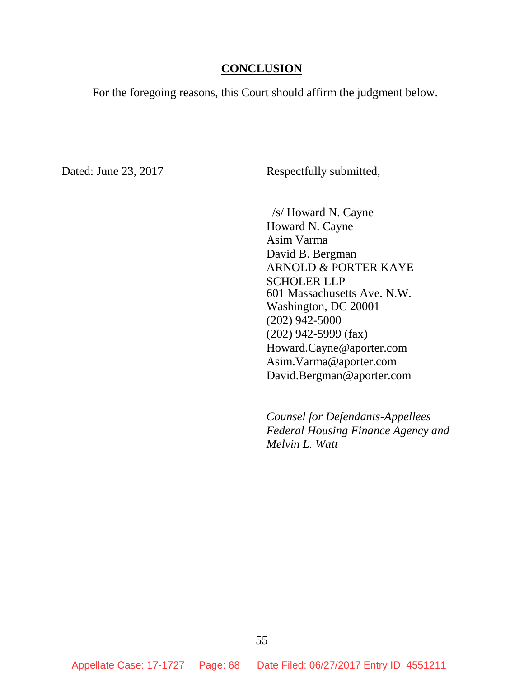### **CONCLUSION**

For the foregoing reasons, this Court should affirm the judgment below.

Dated: June 23, 2017 Respectfully submitted,

/s/ Howard N. Cayne

Howard N. Cayne Asim Varma David B. Bergman ARNOLD & PORTER KAYE SCHOLER LLP 601 Massachusetts Ave. N.W. Washington, DC 20001 (202) 942-5000 (202) 942-5999 (fax) Howard.Cayne@aporter.com Asim.Varma@aporter.com David.Bergman@aporter.com

*Counsel for Defendants-Appellees Federal Housing Finance Agency and Melvin L. Watt*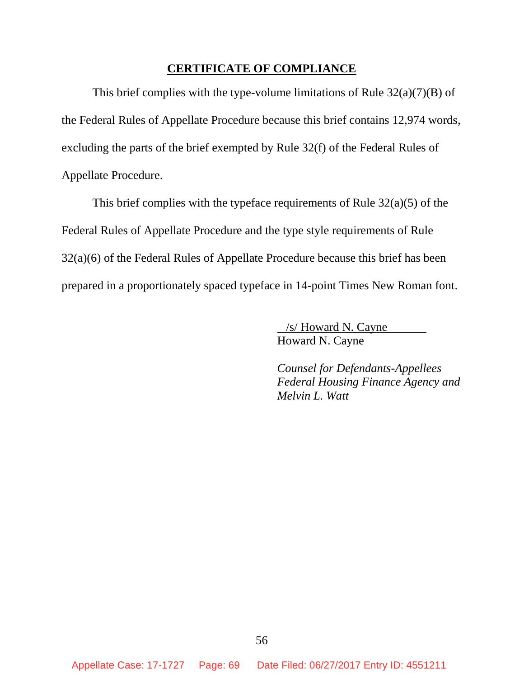#### **CERTIFICATE OF COMPLIANCE**

This brief complies with the type-volume limitations of Rule  $32(a)(7)(B)$  of the Federal Rules of Appellate Procedure because this brief contains 12,974 words, excluding the parts of the brief exempted by Rule 32(f) of the Federal Rules of Appellate Procedure.

This brief complies with the typeface requirements of Rule  $32(a)(5)$  of the Federal Rules of Appellate Procedure and the type style requirements of Rule 32(a)(6) of the Federal Rules of Appellate Procedure because this brief has been prepared in a proportionately spaced typeface in 14-point Times New Roman font.

> /s/ Howard N. Cayne Howard N. Cayne

*Counsel for Defendants-Appellees Federal Housing Finance Agency and Melvin L. Watt*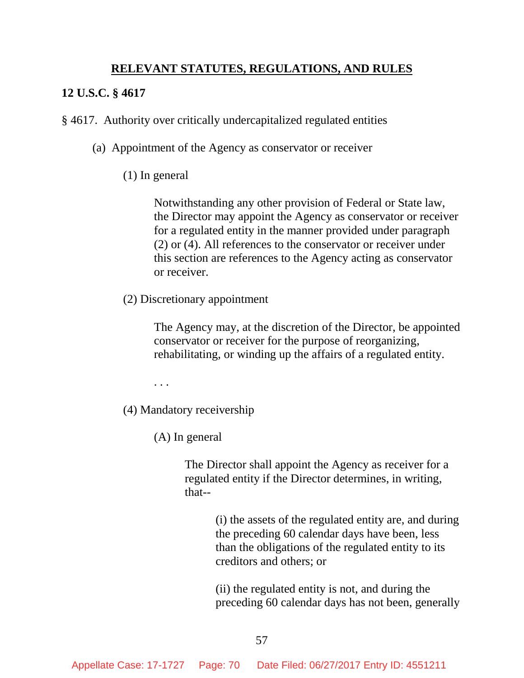# **RELEVANT STATUTES, REGULATIONS, AND RULES**

### **12 U.S.C. § 4617**

§ 4617. Authority over critically undercapitalized regulated entities

- (a) Appointment of the Agency as conservator or receiver
	- (1) In general

Notwithstanding any other provision of Federal or State law, the Director may appoint the Agency as conservator or receiver for a regulated entity in the manner provided under paragraph (2) or (4). All references to the conservator or receiver under this section are references to the Agency acting as conservator or receiver.

(2) Discretionary appointment

The Agency may, at the discretion of the Director, be appointed conservator or receiver for the purpose of reorganizing, rehabilitating, or winding up the affairs of a regulated entity.

. . .

(4) Mandatory receivership

(A) In general

The Director shall appoint the Agency as receiver for a regulated entity if the Director determines, in writing, that--

> (i) the assets of the regulated entity are, and during the preceding 60 calendar days have been, less than the obligations of the regulated entity to its creditors and others; or

> (ii) the regulated entity is not, and during the preceding 60 calendar days has not been, generally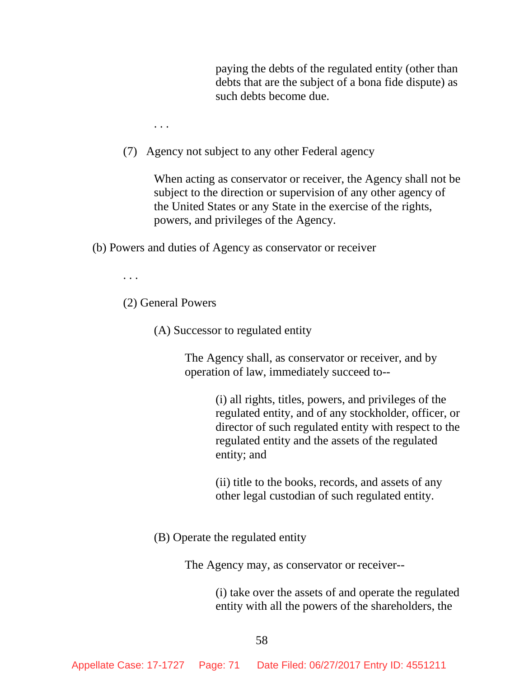paying the debts of the regulated entity (other than debts that are the subject of a bona fide dispute) as such debts become due.

. . .

(7) Agency not subject to any other Federal agency

When acting as conservator or receiver, the Agency shall not be subject to the direction or supervision of any other agency of the United States or any State in the exercise of the rights, powers, and privileges of the Agency.

(b) Powers and duties of Agency as conservator or receiver

. . .

(2) General Powers

(A) Successor to regulated entity

The Agency shall, as conservator or receiver, and by operation of law, immediately succeed to--

> (i) all rights, titles, powers, and privileges of the regulated entity, and of any stockholder, officer, or director of such regulated entity with respect to the regulated entity and the assets of the regulated entity; and

(ii) title to the books, records, and assets of any other legal custodian of such regulated entity.

(B) Operate the regulated entity

The Agency may, as conservator or receiver--

(i) take over the assets of and operate the regulated entity with all the powers of the shareholders, the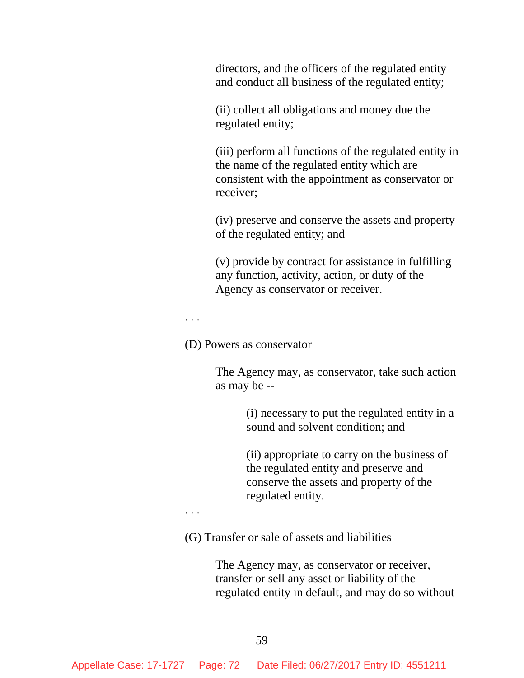directors, and the officers of the regulated entity and conduct all business of the regulated entity;

(ii) collect all obligations and money due the regulated entity;

(iii) perform all functions of the regulated entity in the name of the regulated entity which are consistent with the appointment as conservator or receiver;

(iv) preserve and conserve the assets and property of the regulated entity; and

(v) provide by contract for assistance in fulfilling any function, activity, action, or duty of the Agency as conservator or receiver.

. . .

(D) Powers as conservator

The Agency may, as conservator, take such action as may be --

> (i) necessary to put the regulated entity in a sound and solvent condition; and

(ii) appropriate to carry on the business of the regulated entity and preserve and conserve the assets and property of the regulated entity.

. . .

(G) Transfer or sale of assets and liabilities

The Agency may, as conservator or receiver, transfer or sell any asset or liability of the regulated entity in default, and may do so without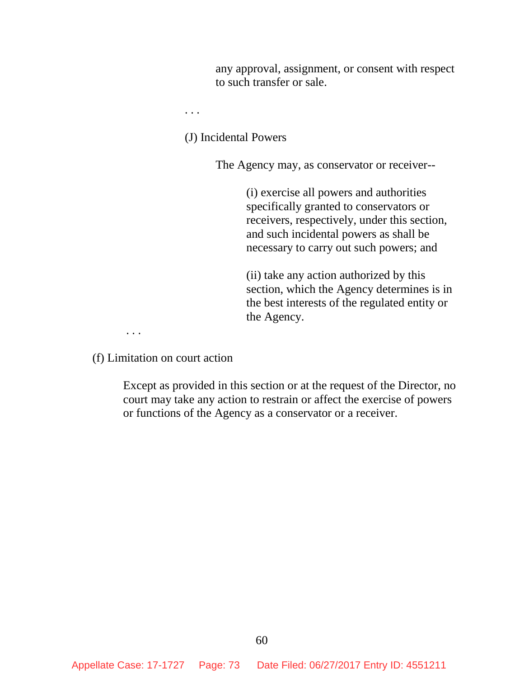any approval, assignment, or consent with respect to such transfer or sale.

. . .

(J) Incidental Powers

The Agency may, as conservator or receiver--

(i) exercise all powers and authorities specifically granted to conservators or receivers, respectively, under this section, and such incidental powers as shall be necessary to carry out such powers; and

(ii) take any action authorized by this section, which the Agency determines is in the best interests of the regulated entity or the Agency.

(f) Limitation on court action

. . .

Except as provided in this section or at the request of the Director, no court may take any action to restrain or affect the exercise of powers or functions of the Agency as a conservator or a receiver.